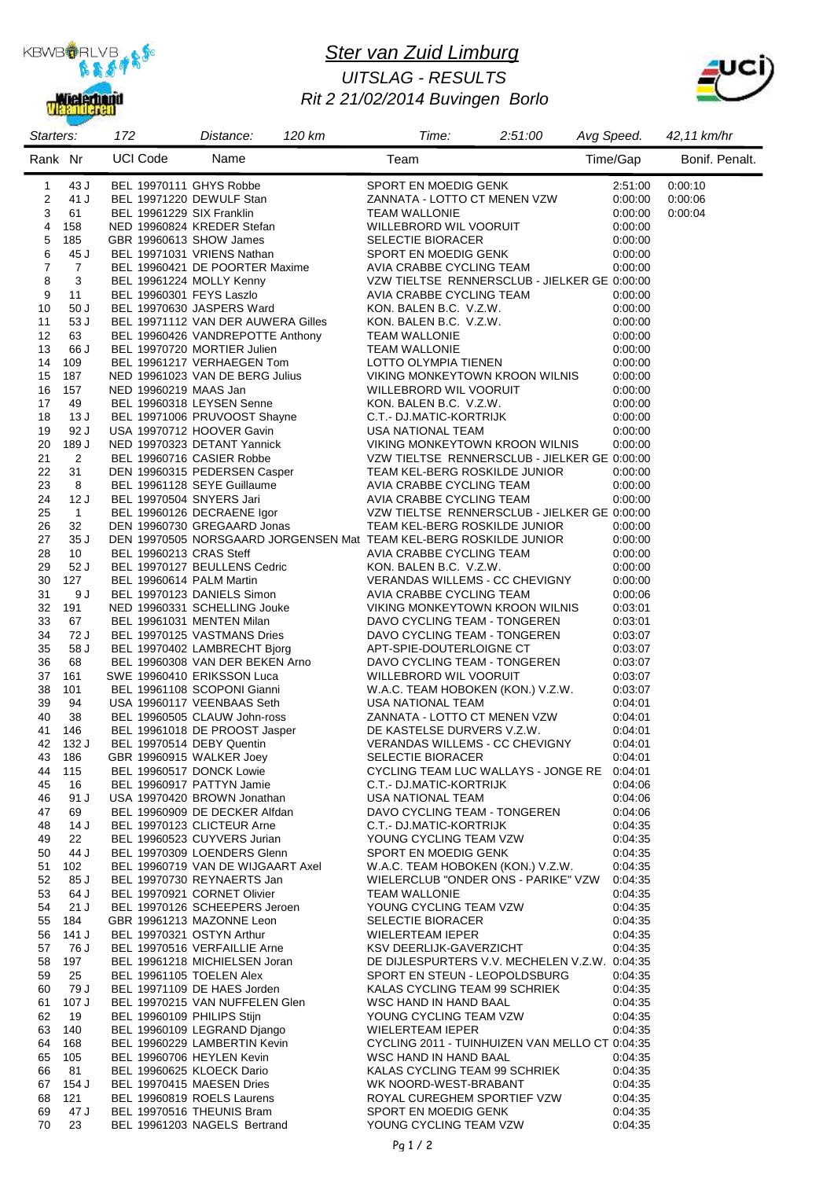

### *Ster van Zuid Limburg Rit 2 21/02/2014 Buvingen Borlo UITSLAG - RESULTS*



| Starters:    |                      | 172                        | 120 km<br>Distance:                                                                                                                                                   | Time:                                                                         | 2:51:00 | Avg Speed.         | 42,11 km/hr    |
|--------------|----------------------|----------------------------|-----------------------------------------------------------------------------------------------------------------------------------------------------------------------|-------------------------------------------------------------------------------|---------|--------------------|----------------|
| Rank Nr      |                      | <b>UCI Code</b>            | Name                                                                                                                                                                  | Team                                                                          |         | Time/Gap           | Bonif. Penalt. |
| $\mathbf{1}$ | 43 J                 | BEL 19970111 GHYS Robbe    |                                                                                                                                                                       | SPORT EN MOEDIG GENK                                                          |         | 2:51:00            | 0:00:10        |
| 2            | 41 J                 |                            | BEL 19971220 DEWULF Stan                                                                                                                                              | ZANNATA - LOTTO CT MENEN VZW                                                  |         | 0:00:00            | 0:00:06        |
| 3            | 61                   | BEL 19961229 SIX Franklin  |                                                                                                                                                                       | <b>TEAM WALLONIE</b>                                                          |         | 0:00:00            | 0:00:04        |
| 4            | 158                  |                            | NED 19960824 KREDER Stefan                                                                                                                                            | WILLEBRORD WIL VOORUIT                                                        |         | 0:00:00            |                |
| 5<br>6       | 185<br>45 J          | GBR 19960613 SHOW James    | BEL 19971031 VRIENS Nathan                                                                                                                                            | <b>SELECTIE BIORACER</b><br>SPORT EN MOEDIG GENK                              |         | 0:00:00            |                |
| 7            | $\overline{7}$       |                            | BEL 19960421 DE POORTER Maxime                                                                                                                                        | AVIA CRABBE CYCLING TEAM                                                      |         | 0:00:00<br>0:00:00 |                |
| 8            | 3                    |                            | BEL 19961224 MOLLY Kenny                                                                                                                                              | VZW TIELTSE RENNERSCLUB - JIELKER GE 0:00:00                                  |         |                    |                |
| 9            | 11                   | BEL 19960301 FEYS Laszlo   |                                                                                                                                                                       | AVIA CRABBE CYCLING TEAM                                                      |         | 0:00:00            |                |
| 10           | 50J                  |                            | BEL 19970630 JASPERS Ward                                                                                                                                             | KON. BALEN B.C. V.Z.W.                                                        |         | 0:00:00            |                |
| 11           | 53 J                 |                            | BEL 19971112 VAN DER AUWERA Gilles                                                                                                                                    | KON. BALEN B.C. V.Z.W.                                                        |         | 0:00:00            |                |
| 12           | 63                   |                            | BEL 19960426 VANDREPOTTE Anthony                                                                                                                                      | <b>TEAM WALLONIE</b>                                                          |         | 0:00:00            |                |
| 13           | 66 J                 |                            | BEL 19970720 MORTIER Julien                                                                                                                                           | <b>TEAM WALLONIE</b>                                                          |         | 0:00:00            |                |
| 14           | 109                  |                            | BEL 19961217 VERHAEGEN Tom                                                                                                                                            | LOTTO OLYMPIA TIENEN                                                          |         | 0:00:00            |                |
| 15<br>16     | 187<br>157           | NED 19960219 MAAS Jan      | NED 19961023 VAN DE BERG Julius                                                                                                                                       | VIKING MONKEYTOWN KROON WILNIS<br>WILLEBRORD WIL VOORUIT                      |         | 0:00:00<br>0:00:00 |                |
| 17           | 49                   |                            | BEL 19960318 LEYSEN Senne                                                                                                                                             | KON. BALEN B.C. V.Z.W.                                                        |         | 0:00:00            |                |
| 18           | 13 J                 |                            |                                                                                                                                                                       | C.T.- DJ.MATIC-KORTRIJK                                                       |         | 0:00:00            |                |
| 19           | 92 J                 |                            | <b>BEL 19971006 PRUVOOST Shayne</b><br>USA 19970712 HOOVER Gavin<br>USA 19970712 HOOVER Gavin                                                                         | USA NATIONAL TEAM                                                             |         | 0:00:00            |                |
| 20           | 189 J                |                            | NED 19970323 DETANT Yannick                                                                                                                                           | VIKING MONKEYTOWN KROON WILNIS                                                |         | 0:00:00            |                |
| 21           | 2                    |                            | BEL 19960716 CASIER Robbe                                                                                                                                             | VZW TIELTSE RENNERSCLUB - JIELKER GE 0:00:00                                  |         |                    |                |
| 22           | 31                   |                            | DEN 19960315 PEDERSEN Casper<br>BEL 19961128 SEYE Guillaume AVIA CRABBE CYCLING TEAM<br>BEL 19970504 SNYERS Jari AVIA CRABBE CYCLING TEAM<br>AVIA CRABBE CYCLING TEAM | TEAM KEL-BERG ROSKILDE JUNIOR                                                 |         | 0:00:00            |                |
| 23           | 8                    |                            |                                                                                                                                                                       |                                                                               |         | 0:00:00            |                |
| 24           | 12J                  | BEL 19970504 SNYERS Jari   | BEL 19960126 DECRAENE Igor                                                                                                                                            | AVIA CRABBE CYCLING TEAM                                                      |         | 0:00:00            |                |
| 25<br>26     | $\overline{1}$<br>32 |                            | DEN 19960730 GREGAARD Jonas                                                                                                                                           | VZW TIELTSE RENNERSCLUB - JIELKER GE 0:00:00<br>TEAM KEL-BERG ROSKILDE JUNIOR |         | 0:00:00            |                |
| 27           | 35J                  |                            | DEN 19970505 NORSGAARD JORGENSEN Mat TEAM KEL-BERG ROSKILDE JUNIOR                                                                                                    |                                                                               |         | 0:00:00            |                |
| 28           | 10                   | BEL 19960213 CRAS Steff    |                                                                                                                                                                       | AVIA CRABBE CYCLING TEAM                                                      |         | 0:00:00            |                |
| 29           | 52 J                 |                            | BEL 19970127 BEULLENS Cedric                                                                                                                                          | KON. BALEN B.C. V.Z.W.                                                        |         | 0:00:00            |                |
| 30           | 127                  | BEL 19960614 PALM Martin   |                                                                                                                                                                       | VERANDAS WILLEMS - CC CHEVIGNY                                                |         | 0:00:00            |                |
| 31           | 9 J                  |                            | BEL 19970123 DANIELS Simon                                                                                                                                            | AVIA CRABBE CYCLING TEAM                                                      |         | 0:00:06            |                |
| 32           | 191                  |                            | NED 19960331 SCHELLING Jouke                                                                                                                                          | VIKING MONKEYTOWN KROON WILNIS                                                |         | 0:03:01            |                |
| 33           | 67                   |                            | BEL 19961031 MENTEN Milan                                                                                                                                             | DAVO CYCLING TEAM - TONGEREN                                                  |         | 0:03:01            |                |
| 34<br>35     | 72 J<br>58 J         |                            | BEL 19970125 VASTMANS Dries<br>BEL 19970402 LAMBRECHT Bjorg                                                                                                           | DAVO CYCLING TEAM - TONGEREN<br>APT-SPIE-DOUTERLOIGNE CT                      |         | 0:03:07<br>0:03:07 |                |
| 36           | 68                   |                            | BEL 19960308 VAN DER BEKEN Arno                                                                                                                                       | DAVO CYCLING TEAM - TONGEREN                                                  |         | 0:03:07            |                |
| 37           | 161                  |                            | SWE 19960410 ERIKSSON Luca                                                                                                                                            | WILLEBRORD WIL VOORUIT                                                        |         | 0:03:07            |                |
| 38           | 101                  |                            | BEL 19961108 SCOPONI Gianni                                                                                                                                           | W.A.C. TEAM HOBOKEN (KON.) V.Z.W.                                             |         | 0:03:07            |                |
| 39           | 94                   |                            | USA 19960117 VEENBAAS Seth                                                                                                                                            | USA NATIONAL TEAM                                                             |         | 0:04:01            |                |
| 40           | 38                   |                            | BEL 19960505 CLAUW John-ross                                                                                                                                          | ZANNATA - LOTTO CT MENEN VZW                                                  |         | 0.04:01            |                |
| 41           | 146                  |                            | BEL 19961018 DE PROOST Jasper                                                                                                                                         | DE KASTELSE DURVERS V.Z.W.<br>VERANDAS WILLEMS - CC CHEV                      |         | 0.04:01            |                |
| 42           | 132 J                |                            | BEL 19970514 DEBY Quentin                                                                                                                                             | VERANDAS WILLEMS - CC CHEVIGNY                                                |         | 0.04:01            |                |
| 43 186<br>44 | 115                  |                            | GBR 19960915 WALKER Joey<br>BEL 19960517 DONCK Lowie                                                                                                                  | <b>SELECTIE BIORACER</b><br>CYCLING TEAM LUC WALLAYS - JONGE RE 0:04:01       |         | 0:04:01            |                |
| 45           | 16                   |                            | BEL 19960917 PATTYN Jamie                                                                                                                                             | C.T.- DJ.MATIC-KORTRIJK                                                       |         | 0.04:06            |                |
| 46           | 91 J                 |                            | USA 19970420 BROWN Jonathan                                                                                                                                           | USA NATIONAL TEAM                                                             |         | 0:04:06            |                |
| 47           | 69                   |                            | BEL 19960909 DE DECKER Alfdan                                                                                                                                         | DAVO CYCLING TEAM - TONGEREN                                                  |         | 0.04:06            |                |
| 48           | 14 J                 |                            | BEL 19970123 CLICTEUR Arne                                                                                                                                            | C.T.- DJ.MATIC-KORTRIJK                                                       |         | 0:04:35            |                |
| 49           | 22                   |                            | BEL 19960523 CUYVERS Jurian                                                                                                                                           | YOUNG CYCLING TEAM VZW                                                        |         | 0:04:35            |                |
| 50           | 44 J                 |                            | BEL 19970309 LOENDERS Glenn                                                                                                                                           | SPORT EN MOEDIG GENK                                                          |         | 0:04:35            |                |
| 51           | 102<br>85 J          |                            | BEL 19960719 VAN DE WIJGAART Axel                                                                                                                                     | W.A.C. TEAM HOBOKEN (KON.) V.Z.W.                                             |         | 0:04:35            |                |
| 52<br>53     | 64 J                 |                            | BEL 19970730 REYNAERTS Jan<br>BEL 19970921 CORNET Olivier                                                                                                             | WIELERCLUB "ONDER ONS - PARIKE" VZW<br>TEAM WALLONIE                          |         | 0:04:35<br>0:04:35 |                |
| 54           | 21J                  |                            | BEL 19970126 SCHEEPERS Jeroen                                                                                                                                         | YOUNG CYCLING TEAM VZW                                                        |         | 0:04:35            |                |
| 55           | 184                  |                            | GBR 19961213 MAZONNE Leon                                                                                                                                             | <b>SELECTIE BIORACER</b>                                                      |         | 0:04:35            |                |
| 56           | 141 J                |                            | BEL 19970321 OSTYN Arthur                                                                                                                                             | WIELERTEAM IEPER                                                              |         | 0.04.35            |                |
| 57           | 76 J                 |                            | BEL 19970516 VERFAILLIE Arne                                                                                                                                          | KSV DEERLIJK-GAVERZICHT                                                       |         | 0.04.35            |                |
| 58           | 197                  |                            | BEL 19961218 MICHIELSEN Joran                                                                                                                                         | DE DIJLESPURTERS V.V. MECHELEN V.Z.W. 0:04:35                                 |         |                    |                |
| 59           | 25                   | BEL 19961105 TOELEN Alex   |                                                                                                                                                                       | SPORT EN STEUN - LEOPOLDSBURG                                                 |         | 0:04:35            |                |
| 60<br>61     | 79 J<br>107 J        |                            | BEL 19971109 DE HAES Jorden<br>BEL 19970215 VAN NUFFELEN Glen                                                                                                         | KALAS CYCLING TEAM 99 SCHRIEK<br>WSC HAND IN HAND BAAL                        |         | 0:04:35<br>0:04:35 |                |
| 62           | 19                   | BEL 19960109 PHILIPS Stijn |                                                                                                                                                                       | YOUNG CYCLING TEAM VZW                                                        |         | 0:04:35            |                |
| 63           | 140                  |                            | BEL 19960109 LEGRAND Django                                                                                                                                           | WIELERTEAM IEPER                                                              |         | 0:04:35            |                |
| 64           | 168                  |                            | BEL 19960229 LAMBERTIN Kevin                                                                                                                                          | CYCLING 2011 - TUINHUIZEN VAN MELLO CT 0:04:35                                |         |                    |                |
| 65           | 105                  |                            | BEL 19960706 HEYLEN Kevin                                                                                                                                             | WSC HAND IN HAND BAAL                                                         |         | 0.04.35            |                |
| 66           | 81                   |                            | BEL 19960625 KLOECK Dario                                                                                                                                             | KALAS CYCLING TEAM 99 SCHRIEK                                                 |         | 0.04.35            |                |
| 67           | 154 J                |                            | BEL 19970415 MAESEN Dries                                                                                                                                             | WK NOORD-WEST-BRABANT                                                         |         | 0:04:35            |                |
| 68           | 121                  |                            | BEL 19960819 ROELS Laurens                                                                                                                                            | ROYAL CUREGHEM SPORTIEF VZW                                                   |         | 0.04.35            |                |
| 69           | 47 J                 |                            | BEL 19970516 THEUNIS Bram                                                                                                                                             | SPORT EN MOEDIG GENK                                                          |         | 0:04:35            |                |
| 70           | 23                   |                            | BEL 19961203 NAGELS Bertrand                                                                                                                                          | YOUNG CYCLING TEAM VZW                                                        |         | 0:04:35            |                |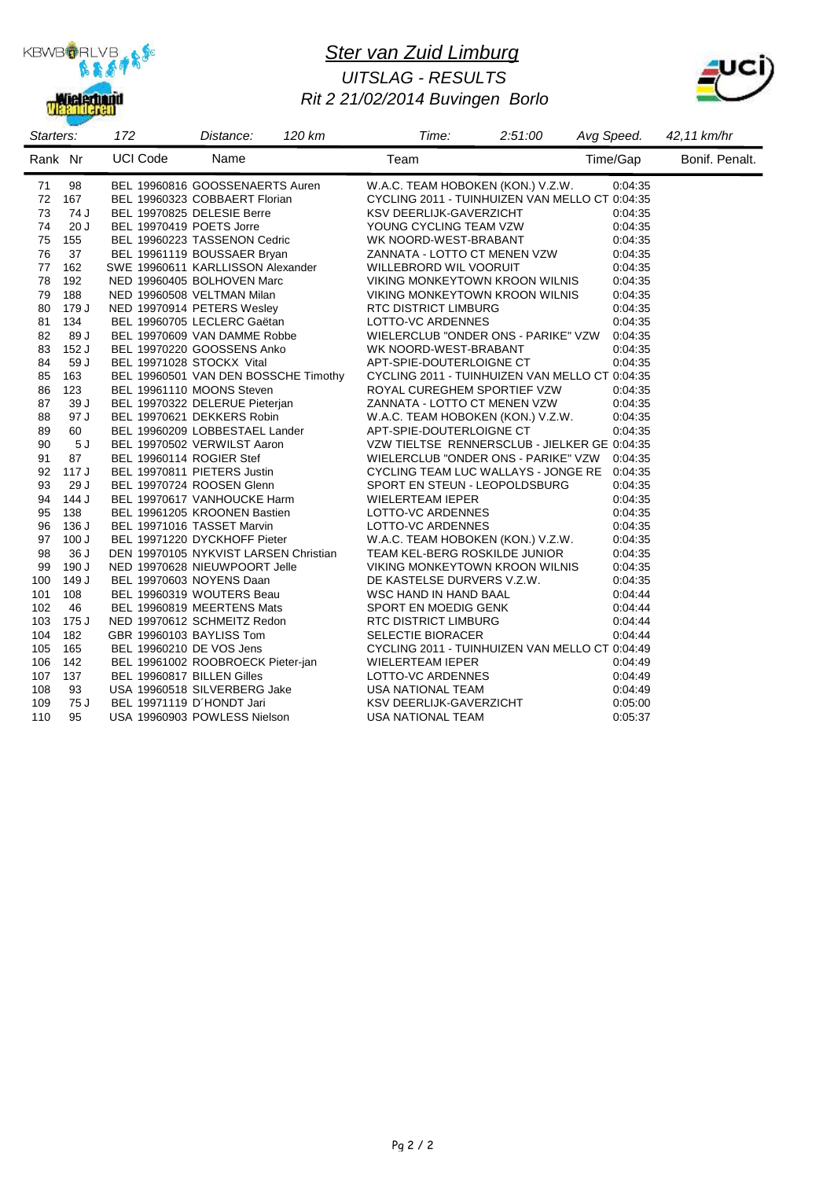

### *Ster van Zuid Limburg Rit 2 21/02/2014 Buvingen Borlo UITSLAG - RESULTS*



| Starters: |       | 172                        | Distance:                             | 120 km | Time:                                          | 2:51:00 | Avg Speed. | 42,11 km/hr    |
|-----------|-------|----------------------------|---------------------------------------|--------|------------------------------------------------|---------|------------|----------------|
| Rank Nr   |       | <b>UCI Code</b>            | Name                                  |        | Team                                           |         | Time/Gap   | Bonif. Penalt. |
| 71        | 98    |                            | BEL 19960816 GOOSSENAERTS Auren       |        | W.A.C. TEAM HOBOKEN (KON.) V.Z.W.              |         | 0:04:35    |                |
| 72        | 167   |                            | BEL 19960323 COBBAERT Florian         |        | CYCLING 2011 - TUINHUIZEN VAN MELLO CT 0:04:35 |         |            |                |
| 73        | 74 J  |                            | BEL 19970825 DELESIE Berre            |        | KSV DEERLIJK-GAVERZICHT                        |         | 0:04:35    |                |
| 74        | 20J   | BEL 19970419 POETS Jorre   |                                       |        | YOUNG CYCLING TEAM VZW                         |         | 0:04:35    |                |
| 75        | 155   |                            | BEL 19960223 TASSENON Cedric          |        | WK NOORD-WEST-BRABANT                          |         | 0:04:35    |                |
| 76        | 37    |                            | BEL 19961119 BOUSSAER Bryan           |        | ZANNATA - LOTTO CT MENEN VZW                   |         | 0:04:35    |                |
| 77        | 162   |                            | SWE 19960611 KARLLISSON Alexander     |        | WILLEBRORD WIL VOORUIT                         |         | 0:04:35    |                |
| 78        | 192   |                            | NED 19960405 BOLHOVEN Marc            |        | VIKING MONKEYTOWN KROON WILNIS                 |         | 0:04:35    |                |
| 79        | 188   |                            | NED 19960508 VELTMAN Milan            |        | VIKING MONKEYTOWN KROON WILNIS                 |         | 0:04:35    |                |
| 80        | 179 J |                            | NED 19970914 PETERS Wesley            |        | <b>RTC DISTRICT LIMBURG</b>                    |         | 0:04:35    |                |
| 81        | 134   |                            | BEL 19960705 LECLERC Gaëtan           |        | LOTTO-VC ARDENNES                              |         | 0:04:35    |                |
| 82        | 89 J  |                            | BEL 19970609 VAN DAMME Robbe          |        | WIELERCLUB "ONDER ONS - PARIKE" VZW            |         | 0:04:35    |                |
| 83        | 152 J |                            | BEL 19970220 GOOSSENS Anko            |        | WK NOORD-WEST-BRABANT                          |         | 0:04:35    |                |
| 84        | 59 J  | BEL 19971028 STOCKX Vital  |                                       |        | APT-SPIE-DOUTERLOIGNE CT                       |         | 0:04:35    |                |
| 85        | 163   |                            | BEL 19960501 VAN DEN BOSSCHE Timothy  |        | CYCLING 2011 - TUINHUIZEN VAN MELLO CT 0:04:35 |         |            |                |
| 86        | 123   |                            | BEL 19961110 MOONS Steven             |        | ROYAL CUREGHEM SPORTIEF VZW                    |         | 0:04:35    |                |
| 87        | 39 J  |                            | BEL 19970322 DELERUE Pieterjan        |        | ZANNATA - LOTTO CT MENEN VZW                   |         | 0:04:35    |                |
| 88        | 97 J  |                            | BEL 19970621 DEKKERS Robin            |        | W.A.C. TEAM HOBOKEN (KON.) V.Z.W.              |         | 0:04:35    |                |
| 89        | 60    |                            | BEL 19960209 LOBBESTAEL Lander        |        | APT-SPIE-DOUTERLOIGNE CT                       |         | 0:04:35    |                |
| 90        | 5J    |                            | BEL 19970502 VERWILST Aaron           |        | VZW TIELTSE RENNERSCLUB - JIELKER GE 0:04:35   |         |            |                |
| 91        | 87    | BEL 19960114 ROGIER Stef   |                                       |        | WIELERCLUB "ONDER ONS - PARIKE" VZW 0:04:35    |         |            |                |
| 92        | 117 J |                            | BEL 19970811 PIETERS Justin           |        | CYCLING TEAM LUC WALLAYS - JONGE RE            |         | 0:04:35    |                |
| 93        | 29 J  |                            | BEL 19970724 ROOSEN Glenn             |        | SPORT EN STEUN - LEOPOLDSBURG                  |         | 0:04:35    |                |
| 94        | 144 J |                            | BEL 19970617 VANHOUCKE Harm           |        | WIELERTEAM IEPER                               |         | 0:04:35    |                |
| 95        | 138   |                            | BEL 19961205 KROONEN Bastien          |        | LOTTO-VC ARDENNES                              |         | 0.04.35    |                |
| 96        | 136 J |                            | BEL 19971016 TASSET Marvin            |        | LOTTO-VC ARDENNES                              |         | 0:04:35    |                |
| 97        | 100J  |                            | BEL 19971220 DYCKHOFF Pieter          |        | W.A.C. TEAM HOBOKEN (KON.) V.Z.W.              |         | 0:04:35    |                |
| 98        | 36 J  |                            | DEN 19970105 NYKVIST LARSEN Christian |        | TEAM KEL-BERG ROSKILDE JUNIOR                  |         | 0:04:35    |                |
| 99        | 190 J |                            | NED 19970628 NIEUWPOORT Jelle         |        | VIKING MONKEYTOWN KROON WILNIS                 |         | 0:04:35    |                |
| 100       | 149 J |                            | BEL 19970603 NOYENS Daan              |        | DE KASTELSE DURVERS V.Z.W.                     |         | 0:04:35    |                |
| 101       | 108   |                            | BEL 19960319 WOUTERS Beau             |        | WSC HAND IN HAND BAAL                          |         | 0.04.44    |                |
| 102       | 46    |                            | BEL 19960819 MEERTENS Mats            |        | SPORT EN MOEDIG GENK                           |         | 0.04:44    |                |
| 103       | 175 J |                            | NED 19970612 SCHMEITZ Redon           |        | <b>RTC DISTRICT LIMBURG</b>                    |         | 0.04.44    |                |
| 104       | 182   | GBR 19960103 BAYLISS Tom   |                                       |        | <b>SELECTIE BIORACER</b>                       |         | 0:04:44    |                |
| 105       | 165   | BEL 19960210 DE VOS Jens   |                                       |        | CYCLING 2011 - TUINHUIZEN VAN MELLO CT 0:04:49 |         |            |                |
| 106       | 142   |                            | BEL 19961002 ROOBROECK Pieter-jan     |        | WIELERTEAM IEPER                               |         | 0.04.49    |                |
| 107       | 137   | BEL 19960817 BILLEN Gilles |                                       |        | LOTTO-VC ARDENNES                              |         | 0.04.49    |                |
| 108       | 93    |                            | USA 19960518 SILVERBERG Jake          |        | USA NATIONAL TEAM                              |         | 0.04.49    |                |
| 109       | 75 J  | BEL 19971119 D'HONDT Jari  |                                       |        | KSV DEERLIJK-GAVERZICHT                        |         | 0:05:00    |                |
| 110       | 95    |                            | USA 19960903 POWLESS Nielson          |        | USA NATIONAL TEAM                              |         | 0:05:37    |                |
|           |       |                            |                                       |        |                                                |         |            |                |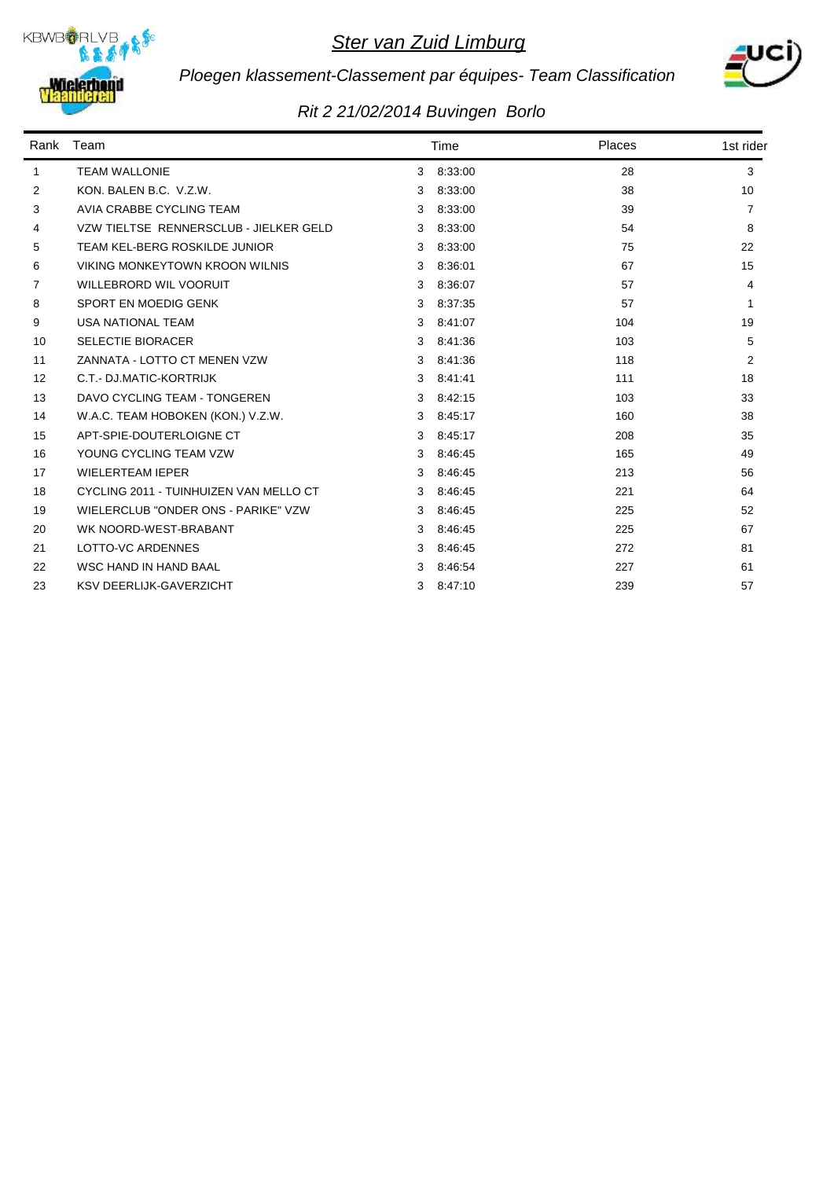



# *Ploegen klassement-Classement par équipes- Team Classification*

| Rank         | Team                                   |   | Time    | Places | 1st rider      |
|--------------|----------------------------------------|---|---------|--------|----------------|
| $\mathbf{1}$ | <b>TEAM WALLONIE</b>                   | 3 | 8:33:00 | 28     | 3              |
| 2            | KON, BALEN B.C. V.Z.W.                 | 3 | 8:33:00 | 38     | 10             |
| 3            | AVIA CRABBE CYCLING TEAM               | 3 | 8:33:00 | 39     | 7              |
| 4            | VZW TIELTSE RENNERSCLUB - JIELKER GELD | 3 | 8:33:00 | 54     | 8              |
| 5            | TEAM KEL-BERG ROSKILDE JUNIOR          | 3 | 8:33:00 | 75     | 22             |
| 6            | VIKING MONKEYTOWN KROON WILNIS         | 3 | 8:36:01 | 67     | 15             |
| 7            | <b>WILLEBRORD WIL VOORUIT</b>          | 3 | 8:36:07 | 57     | 4              |
| 8            | SPORT EN MOEDIG GENK                   | 3 | 8:37:35 | 57     | 1              |
| 9            | <b>USA NATIONAL TEAM</b>               | 3 | 8:41:07 | 104    | 19             |
| 10           | <b>SELECTIE BIORACER</b>               | 3 | 8:41:36 | 103    | 5              |
| 11           | ZANNATA - LOTTO CT MENEN VZW           | 3 | 8:41:36 | 118    | $\overline{2}$ |
| 12           | C.T.- DJ.MATIC-KORTRIJK                | 3 | 8:41:41 | 111    | 18             |
| 13           | DAVO CYCLING TEAM - TONGEREN           | 3 | 8:42:15 | 103    | 33             |
| 14           | W.A.C. TEAM HOBOKEN (KON.) V.Z.W.      | 3 | 8:45:17 | 160    | 38             |
| 15           | APT-SPIE-DOUTERLOIGNE CT               | 3 | 8:45:17 | 208    | 35             |
| 16           | YOUNG CYCLING TEAM VZW                 | 3 | 8:46.45 | 165    | 49             |
| 17           | <b>WIELERTEAM IEPER</b>                | 3 | 8:46:45 | 213    | 56             |
| 18           | CYCLING 2011 - TUINHUIZEN VAN MELLO CT | 3 | 8:46:45 | 221    | 64             |
| 19           | WIELERCLUB "ONDER ONS - PARIKE" VZW    | 3 | 8:46:45 | 225    | 52             |
| 20           | WK NOORD-WEST-BRABANT                  | 3 | 8:46:45 | 225    | 67             |
| 21           | LOTTO-VC ARDENNES                      | 3 | 8:46:45 | 272    | 81             |
| 22           | WSC HAND IN HAND BAAL                  | 3 | 8:46:54 | 227    | 61             |
| 23           | <b>KSV DEERLIJK-GAVERZICHT</b>         | 3 | 8:47:10 | 239    | 57             |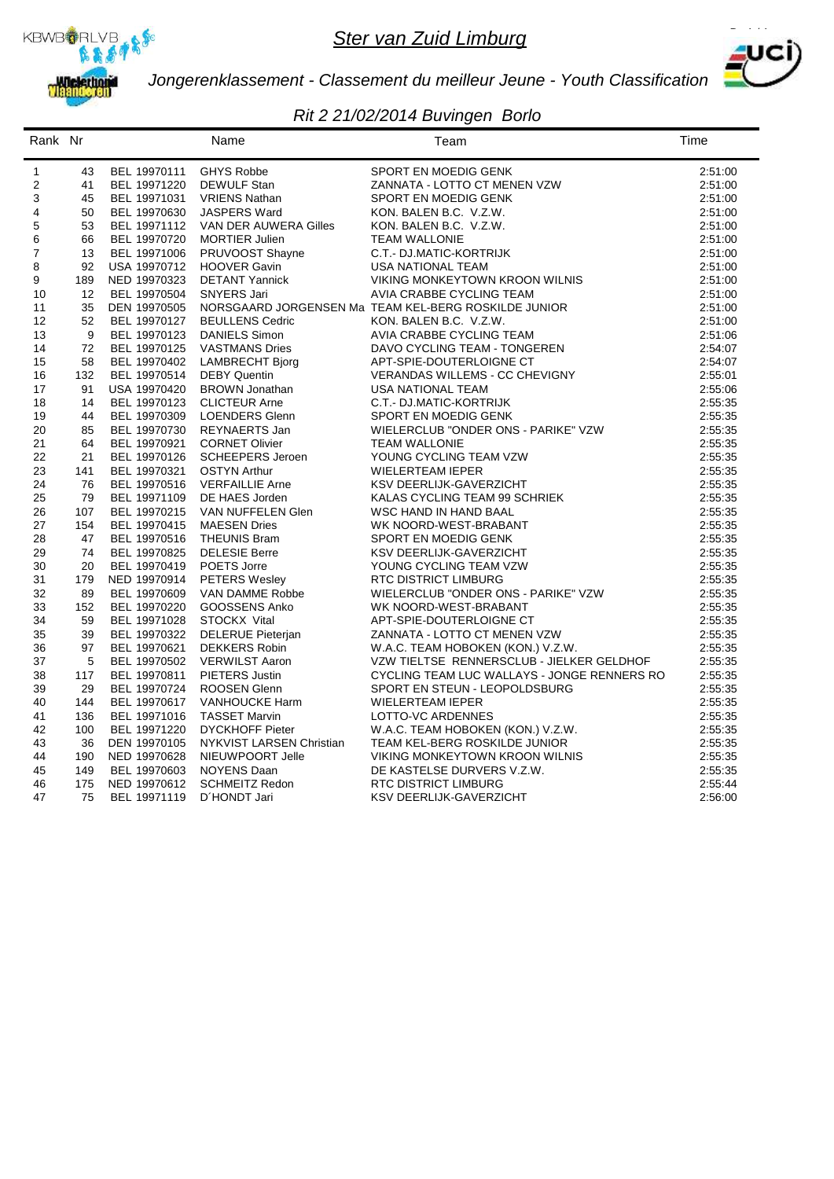



*Jongerenklassement - Classement du meilleur Jeune - Youth Classification*

| Rank Nr        |           |                              | Name                                       | Team                                                                                                                                                                                                                                  | Time               |
|----------------|-----------|------------------------------|--------------------------------------------|---------------------------------------------------------------------------------------------------------------------------------------------------------------------------------------------------------------------------------------|--------------------|
| $\mathbf{1}$   | 43        | BEL 19970111                 | GHYS Robbe                                 | SPORT EN MOEDIG GENK                                                                                                                                                                                                                  | 2:51:00            |
| 2              | 41        | BEL 19971220                 | DEWULF Stan                                | ZANNATA - LOTTO CT MENEN VZW                                                                                                                                                                                                          | 2:51:00            |
| 3              | 45        | BEL 19971031                 | <b>VRIENS Nathan</b>                       | SPORT EN MOEDIG GENK                                                                                                                                                                                                                  | 2:51:00            |
| 4              | 50        | BEL 19970630                 | <b>JASPERS Ward</b>                        | KON. BALEN B.C. V.Z.W.                                                                                                                                                                                                                | 2:51:00            |
| $\mathbf 5$    | 53        | BEL 19971112                 | VAN DER AUWERA Gilles                      | KON. BALEN B.C. V.Z.W.                                                                                                                                                                                                                | 2:51:00            |
| 6              | 66        | BEL 19970720                 | <b>MORTIER Julien</b>                      | <b>TEAM WALLONIE</b>                                                                                                                                                                                                                  | 2:51:00            |
| $\overline{7}$ | 13        | BEL 19971006                 | PRUVOOST Shayne                            | C.T.- DJ.MATIC-KORTRIJK                                                                                                                                                                                                               | 2:51:00            |
| 8              | 92        | USA 19970712                 | <b>HOOVER Gavin</b>                        | USA NATIONAL TEAM                                                                                                                                                                                                                     | 2:51:00            |
| 9              | 189       | NED 19970323                 | <b>DETANT Yannick</b>                      | VIKING MONKEYTOWN KROON WILNIS                                                                                                                                                                                                        | 2:51:00            |
| 10             | 12        | BEL 19970504                 | <b>SNYERS Jari</b>                         | AVIA CRABBE CYCLING TEAM                                                                                                                                                                                                              | 2:51:00            |
| 11             | 35        | DEN 19970505                 |                                            | NORSGAARD JORGENSEN Ma TEAM KEL-BERG ROSKILDE JUNIOR                                                                                                                                                                                  | 2:51:00            |
| 12             | 52        | BEL 19970127                 | <b>BEULLENS Cedric</b>                     | KON. BALEN B.C. V.Z.W.                                                                                                                                                                                                                | 2:51:00            |
| 13             | 9         | BEL 19970123                 | <b>DANIELS Simon</b>                       | AVIA CRABBE CYCLING TEAM                                                                                                                                                                                                              | 2:51:06            |
| 14             | 72        | BEL 19970125                 | <b>VASTMANS Dries</b>                      | DAVO CYCLING TEAM - TONGEREN                                                                                                                                                                                                          | 2:54:07            |
| 15             | 58        | BEL 19970402                 | LAMBRECHT Bjorg                            | APT-SPIE-DOUTERLOIGNE CT                                                                                                                                                                                                              | 2:54:07            |
| 16             | 132       | BEL 19970514                 | <b>DEBY Quentin</b>                        | VERANDAS WILLEMS - CC CHEVIGNY                                                                                                                                                                                                        | 2:55:01            |
| 17             | 91        | USA 19970420                 | <b>BROWN Jonathan</b>                      | USA NATIONAL TEAM                                                                                                                                                                                                                     | 2:55:06            |
| 18             | 14        | BEL 19970123                 | <b>CLICTEUR Arne</b>                       | C.T.- DJ.MATIC-KORTRIJK                                                                                                                                                                                                               | 2:55:35            |
| 19             | 44        | BEL 19970309                 | <b>LOENDERS Glenn</b>                      | SPORT EN MOEDIG GENK                                                                                                                                                                                                                  | 2:55:35            |
| 20             | 85        | BEL 19970730                 | REYNAERTS Jan                              | WIELERCLUB "ONDER ONS - PARIKE" VZW                                                                                                                                                                                                   | 2:55:35            |
| 21             | 64        | BEL 19970921                 | <b>CORNET Olivier</b>                      | <b>TEAM WALLONIE</b>                                                                                                                                                                                                                  | 2:55:35            |
| 22             | 21        | BEL 19970126                 | <b>SCHEEPERS Jeroen</b>                    | YOUNG CYCLING TEAM VZW                                                                                                                                                                                                                | 2:55:35            |
| 23             | 141       | BEL 19970321                 | <b>OSTYN Arthur</b>                        | <b>WIELERTEAM IEPER</b>                                                                                                                                                                                                               | 2:55:35            |
| 24             | 76        | BEL 19970516                 | <b>VERFAILLIE Arne</b>                     | KSV DEERLIJK-GAVERZICHT                                                                                                                                                                                                               | 2:55:35            |
| 25             | 79        | BEL 19971109                 | DE HAES Jorden                             | KALAS CYCLING TEAM 99 SCHRIEK                                                                                                                                                                                                         | 2:55:35            |
| 26             | 107       | BEL 19970215                 | VAN NUFFELEN Glen                          | WSC HAND IN HAND BAAL                                                                                                                                                                                                                 | 2:55:35            |
| 27<br>28       | 154<br>47 | BEL 19970415<br>BEL 19970516 | <b>MAESEN Dries</b><br><b>THEUNIS Bram</b> | WK NOORD-WEST-BRABANT<br>SPORT EN MOEDIG GENK                                                                                                                                                                                         | 2:55:35<br>2:55:35 |
| 29             | 74        | BEL 19970825                 | <b>DELESIE Berre</b>                       | KSV DEERLIJK-GAVERZICHT                                                                                                                                                                                                               | 2:55:35            |
| 30             | 20        | BEL 19970419                 | POETS Jorre                                | YOUNG CYCLING TEAM VZW                                                                                                                                                                                                                | 2:55:35            |
| 31             | 179       | NED 19970914                 | <b>PETERS Wesley</b>                       |                                                                                                                                                                                                                                       | 2:55:35            |
| 32             | 89        | BEL 19970609                 | VAN DAMME Robbe                            |                                                                                                                                                                                                                                       | 2:55:35            |
| 33             | 152       | BEL 19970220                 | GOOSSENS Anko                              | RTC DISTRICT LIMBURG<br>WIELERCLUB "ONDER ONS - PARIKE" VZW<br>WK NOORD-WEST-BRABANT<br>APT-SPIE-DOUTERLOIGNE CT<br>?^^INATA - I OTTO CT MENEN VZW                                                                                    | 2:55:35            |
| 34             | 59        | BEL 19971028                 | STOCKX Vital                               |                                                                                                                                                                                                                                       | 2:55:35            |
| 35             | 39        | BEL 19970322                 | DELERUE Pieterjan                          |                                                                                                                                                                                                                                       | 2:55:35            |
| 36             | 97        | BEL 19970621                 | <b>DEKKERS Robin</b>                       |                                                                                                                                                                                                                                       | 2:55:35            |
| 37             | 5         | BEL 19970502                 | <b>VERWILST Aaron</b>                      |                                                                                                                                                                                                                                       | 2:55:35            |
| 38             | 117       | BEL 19970811                 | PIETERS Justin                             |                                                                                                                                                                                                                                       | 2:55:35            |
| 39             | 29        | BEL 19970724                 | <b>ROOSEN Glenn</b>                        |                                                                                                                                                                                                                                       | 2:55:35            |
| 40             | 144       | BEL 19970617                 | <b>VANHOUCKE Harm</b>                      |                                                                                                                                                                                                                                       | 2:55:35            |
| 41             | 136       | BEL 19971016                 | <b>TASSET Marvin</b>                       |                                                                                                                                                                                                                                       | 2:55:35            |
| 42             | 100       | BEL 19971220                 | <b>DYCKHOFF Pieter</b>                     |                                                                                                                                                                                                                                       | 2:55:35            |
| 43             | 36        | DEN 19970105                 | NYKVIST LARSEN Christian                   |                                                                                                                                                                                                                                       | 2:55:35            |
| 44             | 190       | NED 19970628                 | NIEUWPOORT Jelle                           |                                                                                                                                                                                                                                       | 2:55:35            |
| 45             | 149       | BEL 19970603                 | <b>NOYENS Daan</b>                         |                                                                                                                                                                                                                                       | 2:55:35            |
| 46             | 175       | NED 19970612                 | <b>SCHMEITZ Redon</b>                      |                                                                                                                                                                                                                                       | 2:55:44            |
| 47             | 75        | BEL 19971119                 | D'HONDT Jari                               | INC.<br>WITIELTSE RENNEROL<br>YCLING TEAM LUC WALLAYS - JO<br>JPORT EN STEUN - LEOPOLDSBURG<br>MIELERTEAM IEPER<br>LOTTO-VC ARDENNES<br>W.A.C. TEAM HOBOKEN (KON.) V.Z.W.<br>TEAM KEL-BERG ROSKILDE JUNIOR<br>TANKEYTOWN KROON WILNIS | 2:56:00            |
|                |           |                              |                                            |                                                                                                                                                                                                                                       |                    |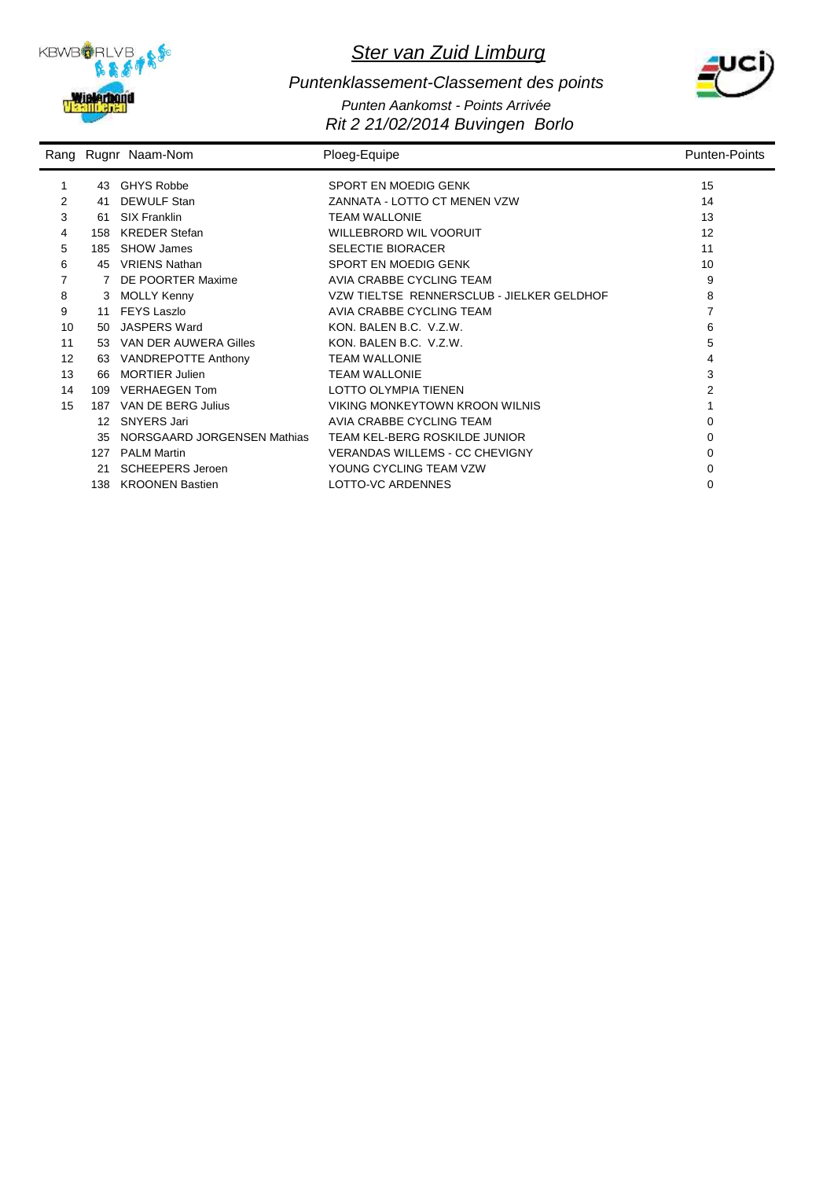



#### *Rit 2 21/02/2014 Buvingen Borlo Puntenklassement-Classement des points Punten Aankomst - Points Arrivée*

|    |                 | Rang Rugnr Naam-Nom         | Ploeg-Equipe                              | <b>Punten-Points</b> |
|----|-----------------|-----------------------------|-------------------------------------------|----------------------|
| 1  | 43              | <b>GHYS Robbe</b>           | SPORT EN MOEDIG GENK                      | 15                   |
| 2  | 41              | <b>DEWULF Stan</b>          | ZANNATA - LOTTO CT MENEN VZW              | 14                   |
| 3  | 61              | <b>SIX Franklin</b>         | <b>TEAM WALLONIE</b>                      | 13                   |
| 4  | 158             | <b>KREDER Stefan</b>        | <b>WILLEBRORD WIL VOORUIT</b>             | 12                   |
| 5  | 185             | <b>SHOW James</b>           | <b>SELECTIE BIORACER</b>                  | 11                   |
| 6  | 45              | <b>VRIENS Nathan</b>        | SPORT EN MOEDIG GENK                      | 10                   |
| 7  |                 | DE POORTER Maxime           | AVIA CRABBE CYCLING TEAM                  | 9                    |
| 8  | 3               | <b>MOLLY Kenny</b>          | VZW TIELTSE RENNERSCLUB - JIELKER GELDHOF | 8                    |
| 9  | 11              | <b>FEYS Laszlo</b>          | AVIA CRABBE CYCLING TEAM                  | 7                    |
| 10 | 50              | <b>JASPERS Ward</b>         | KON, BALEN B.C. V.Z.W.                    | 6                    |
| 11 | 53              | VAN DER AUWERA Gilles       | KON, BALEN B.C. V.Z.W.                    | 5                    |
| 12 | 63              | VANDREPOTTE Anthony         | <b>TEAM WALLONIE</b>                      | 4                    |
| 13 | 66              | <b>MORTIER Julien</b>       | <b>TEAM WALLONIE</b>                      | 3                    |
| 14 | 109             | <b>VERHAEGEN Tom</b>        | LOTTO OLYMPIA TIENEN                      | 2                    |
| 15 | 187             | VAN DE BERG Julius          | <b>VIKING MONKEYTOWN KROON WILNIS</b>     |                      |
|    | 12 <sup>°</sup> | <b>SNYERS Jari</b>          | AVIA CRABBE CYCLING TEAM                  | $\Omega$             |
|    | 35              | NORSGAARD JORGENSEN Mathias | TEAM KEL-BERG ROSKILDE JUNIOR             | 0                    |
|    | 127             | <b>PALM Martin</b>          | <b>VERANDAS WILLEMS - CC CHEVIGNY</b>     | 0                    |
|    | 21              | <b>SCHEEPERS Jeroen</b>     | YOUNG CYCLING TEAM VZW                    | 0                    |
|    | 138             | <b>KROONEN Bastien</b>      | LOTTO-VC ARDENNES                         | ∩                    |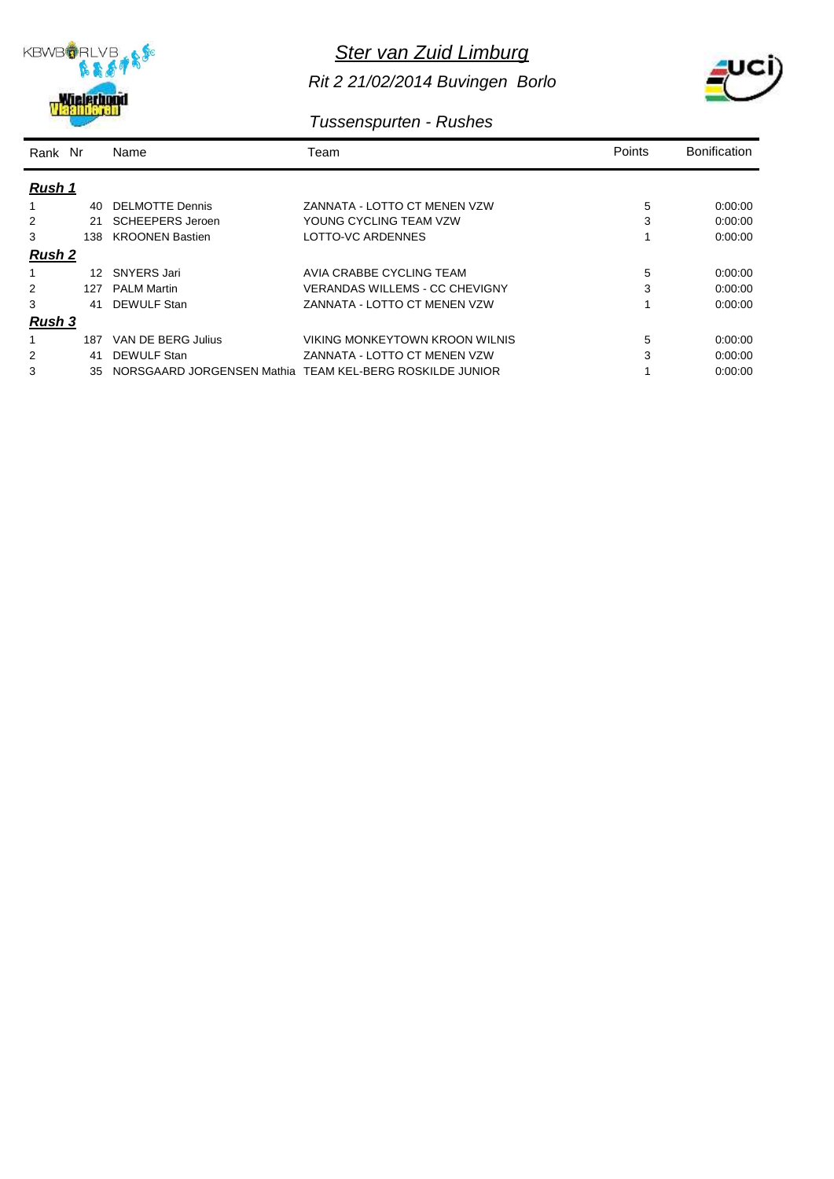

*Rit 2 21/02/2014 Buvingen Borlo*



## *Tussenspurten - Rushes*

| Rank Nr       |                 | Name                    | Team                                                     | Points | <b>Bonification</b> |
|---------------|-----------------|-------------------------|----------------------------------------------------------|--------|---------------------|
| Rush 1        |                 |                         |                                                          |        |                     |
|               | 40              | <b>DELMOTTE Dennis</b>  | ZANNATA - LOTTO CT MENEN VZW                             | 5      | 0:00:00             |
| 2             | 21              | <b>SCHEEPERS Jeroen</b> | YOUNG CYCLING TEAM VZW                                   | 3      | 0:00:00             |
| 3             | 138             | <b>KROONEN Bastien</b>  | LOTTO-VC ARDENNES                                        |        | 0:00:00             |
| <b>Rush 2</b> |                 |                         |                                                          |        |                     |
|               | 12 <sup>7</sup> | SNYERS Jari             | AVIA CRABBE CYCLING TEAM                                 | 5      | 0.00.00             |
|               | 127             | <b>PALM Martin</b>      | VERANDAS WILLEMS - CC CHEVIGNY                           | 3      | 0:00:00             |
| 3             | 41              | DEWULF Stan             | ZANNATA - LOTTO CT MENEN VZW                             |        | 0:00:00             |
| <u>Rush 3</u> |                 |                         |                                                          |        |                     |
|               | 187             | VAN DE BERG Julius      | VIKING MONKEYTOWN KROON WILNIS                           | 5      | 0.00.00             |
| 2             | 41              | <b>DEWULF Stan</b>      | ZANNATA - LOTTO CT MENEN VZW                             | 3      | 0:00:00             |
| 3             | 35              |                         | NORSGAARD JORGENSEN Mathia TEAM KEL-BERG ROSKILDE JUNIOR |        | 0:00:00             |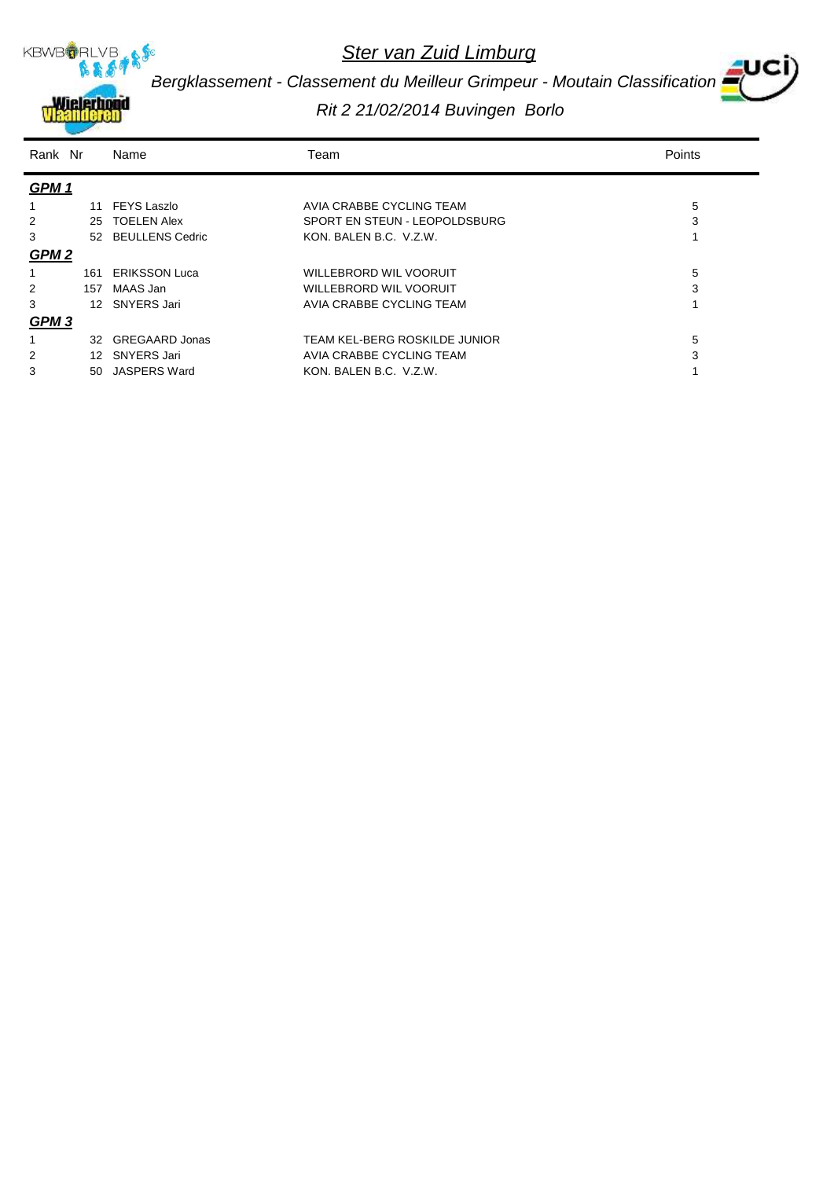

*Bergklassement - Classement du Meilleur Grimpeur - Moutain Classification*

| Rank Nr          |                 | Name                  | Team                          | Points |
|------------------|-----------------|-----------------------|-------------------------------|--------|
| GPM <sub>1</sub> |                 |                       |                               |        |
| 1                |                 | 11 FEYS Laszlo        | AVIA CRABBE CYCLING TEAM      | 5      |
| 2                | 25              | <b>TOELEN Alex</b>    | SPORT EN STEUN - LEOPOLDSBURG | 3      |
| 3                |                 | 52 BEULLENS Cedric    | KON. BALEN B.C. V.Z.W.        |        |
| GPM <sub>2</sub> |                 |                       |                               |        |
|                  | 161             | <b>ERIKSSON Luca</b>  | WILLEBRORD WIL VOORUIT        | 5      |
| 2                | 157             | MAAS Jan              | WILLEBRORD WIL VOORUIT        | 3      |
| 3                | 12 <sup>7</sup> | SNYERS Jari           | AVIA CRABBE CYCLING TEAM      |        |
| GPM <sub>3</sub> |                 |                       |                               |        |
| 1                | 32              | <b>GREGAARD Jonas</b> | TEAM KEL-BERG ROSKILDE JUNIOR | 5      |
| 2                | 12              | <b>SNYERS Jari</b>    | AVIA CRABBE CYCLING TEAM      | 3      |
| 3                | 50.             | JASPERS Ward          | KON, BALEN B.C. V.Z.W.        |        |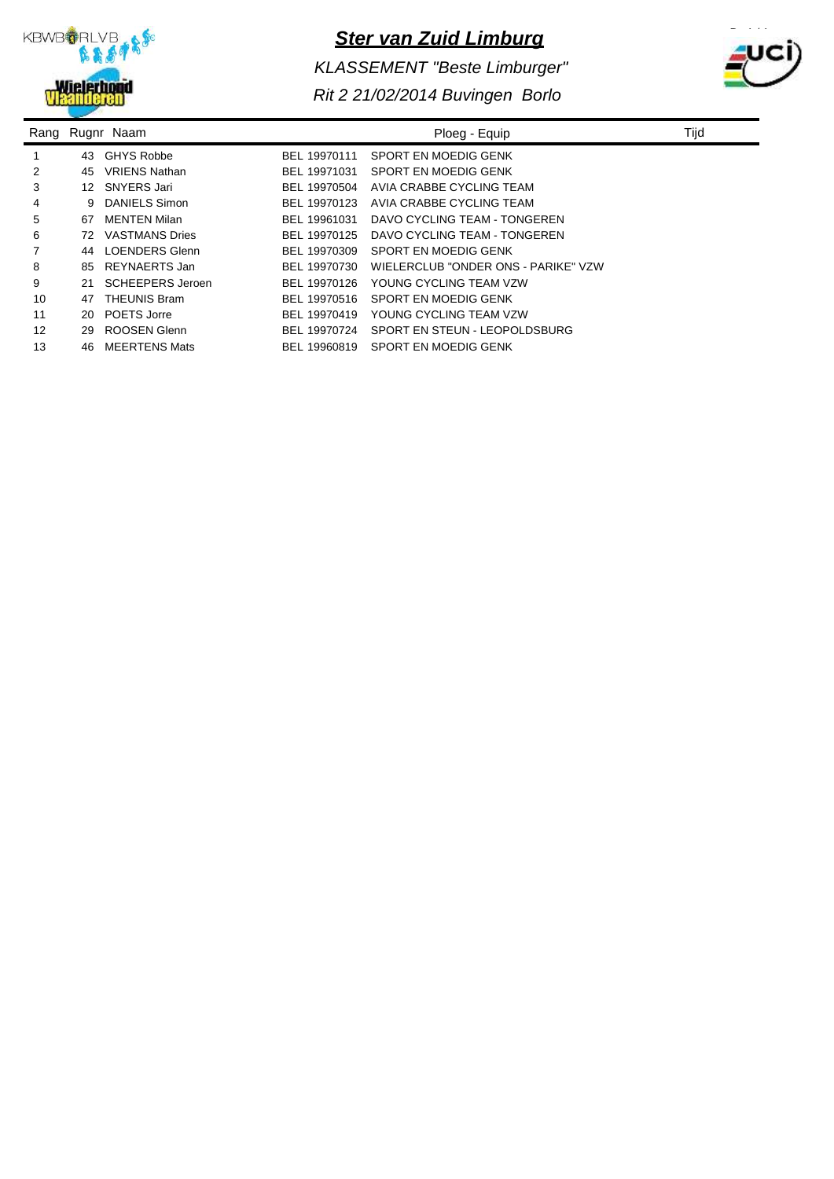

*KLASSEMENT "Beste Limburger"*



| Rang |    | Rugnr Naam              |              | Ploeg - Equip                       | Tijd |
|------|----|-------------------------|--------------|-------------------------------------|------|
|      | 43 | <b>GHYS Robbe</b>       | BEL 19970111 | SPORT EN MOEDIG GENK                |      |
| 2    | 45 | <b>VRIENS Nathan</b>    | BEL 19971031 | SPORT EN MOEDIG GENK                |      |
| 3    | 12 | SNYERS Jari             | BEL 19970504 | AVIA CRABBE CYCLING TEAM            |      |
| 4    | 9  | DANIELS Simon           | BEL 19970123 | AVIA CRABBE CYCLING TEAM            |      |
| 5    | 67 | <b>MENTEN Milan</b>     | BEL 19961031 | DAVO CYCLING TEAM - TONGEREN        |      |
| 6    | 72 | <b>VASTMANS Dries</b>   | BEL 19970125 | DAVO CYCLING TEAM - TONGEREN        |      |
| 7    | 44 | <b>LOENDERS Glenn</b>   | BEL 19970309 | SPORT EN MOEDIG GENK                |      |
| 8    | 85 | REYNAERTS Jan           | BEL 19970730 | WIELERCLUB "ONDER ONS - PARIKE" VZW |      |
| 9    | 21 | <b>SCHEEPERS Jeroen</b> | BEL 19970126 | YOUNG CYCLING TEAM VZW              |      |
| 10   | 47 | <b>THEUNIS Bram</b>     | BEL 19970516 | SPORT EN MOEDIG GENK                |      |
| 11   | 20 | POETS Jorre             | BEL 19970419 | YOUNG CYCLING TEAM VZW              |      |
| 12   | 29 | ROOSEN Glenn            | BEL 19970724 | SPORT EN STEUN - LEOPOLDSBURG       |      |
| 13   | 46 | <b>MEERTENS Mats</b>    | BEL 19960819 | SPORT EN MOEDIG GENK                |      |
|      |    |                         |              |                                     |      |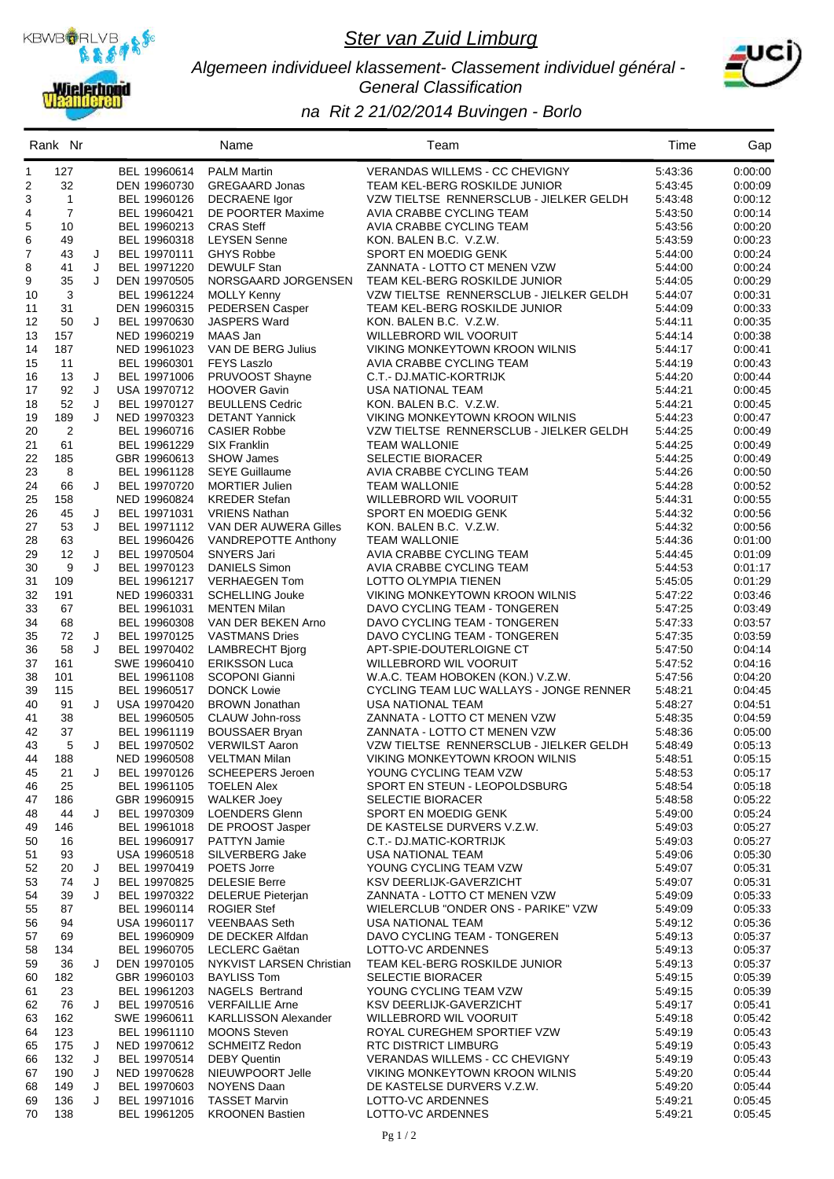

#### *Algemeen individueel klassement- Classement individuel général - General Classification*



|              | Rank Nr        |        |                              | Name                                               | Team                                                         | Time               | Gap                |
|--------------|----------------|--------|------------------------------|----------------------------------------------------|--------------------------------------------------------------|--------------------|--------------------|
| $\mathbf{1}$ | 127            |        | BEL 19960614                 | <b>PALM Martin</b>                                 | <b>VERANDAS WILLEMS - CC CHEVIGNY</b>                        | 5:43:36            | 0.00.00            |
| 2            | 32             |        | DEN 19960730                 | <b>GREGAARD Jonas</b>                              | TEAM KEL-BERG ROSKILDE JUNIOR                                | 5:43:45            | 0:00:09            |
| 3            | $\mathbf{1}$   |        | BEL 19960126                 | <b>DECRAENE</b> Igor                               | VZW TIELTSE RENNERSCLUB - JIELKER GELDH                      | 5:43:48            | 0.00.12            |
| 4            | $\overline{7}$ |        | BEL 19960421                 | DE POORTER Maxime                                  | AVIA CRABBE CYCLING TEAM                                     | 5:43:50            | 0:00:14            |
| 5            | 10             |        | BEL 19960213                 | <b>CRAS Steff</b>                                  | AVIA CRABBE CYCLING TEAM                                     | 5:43:56            | 0:00:20            |
| 6<br>7       | 49<br>43       | J      | BEL 19960318<br>BEL 19970111 | <b>LEYSEN Senne</b><br><b>GHYS Robbe</b>           | KON. BALEN B.C. V.Z.W.<br>SPORT EN MOEDIG GENK               | 5:43:59<br>5:44:00 | 0:00:23<br>0:00:24 |
| 8            | 41             | J      | BEL 19971220                 | <b>DEWULF Stan</b>                                 | ZANNATA - LOTTO CT MENEN VZW                                 | 5:44:00            | 0:00:24            |
| 9            | 35             | J      | DEN 19970505                 | NORSGAARD JORGENSEN                                | TEAM KEL-BERG ROSKILDE JUNIOR                                | 5:44:05            | 0:00:29            |
| 10           | 3              |        | BEL 19961224                 | <b>MOLLY Kenny</b>                                 | VZW TIELTSE RENNERSCLUB - JIELKER GELDH                      | 5:44:07            | 0:00:31            |
| 11           | 31             |        | DEN 19960315                 | <b>PEDERSEN Casper</b>                             | TEAM KEL-BERG ROSKILDE JUNIOR                                | 5:44:09            | 0.00.33            |
| 12           | 50             | J      | BEL 19970630                 | <b>JASPERS Ward</b>                                | KON. BALEN B.C. V.Z.W.                                       | 5:44:11            | 0:00:35            |
| 13           | 157            |        | NED 19960219                 | MAAS Jan                                           | <b>WILLEBRORD WIL VOORUIT</b>                                | 5:44:14            | 0:00:38            |
| 14           | 187            |        | NED 19961023                 | VAN DE BERG Julius                                 | VIKING MONKEYTOWN KROON WILNIS                               | 5:44:17            | 0:00.41            |
| 15           | 11             |        | BEL 19960301                 | <b>FEYS Laszlo</b>                                 | AVIA CRABBE CYCLING TEAM                                     | 5:44:19            | 0:00:43            |
| 16           | 13             | J      | BEL 19971006                 | PRUVOOST Shayne                                    | C.T.- DJ.MATIC-KORTRIJK                                      | 5:44:20            | 0.00.44            |
| 17           | 92<br>52       | J      | USA 19970712                 | <b>HOOVER Gavin</b>                                | <b>USA NATIONAL TEAM</b><br>KON, BALEN B.C. V.Z.W.           | 5:44:21<br>5:44:21 | 0:00:45            |
| 18<br>19     | 189            | J<br>J | BEL 19970127<br>NED 19970323 | <b>BEULLENS Cedric</b><br><b>DETANT Yannick</b>    | VIKING MONKEYTOWN KROON WILNIS                               | 5:44:23            | 0:00:45<br>0:00:47 |
| 20           | 2              |        | BEL 19960716                 | <b>CASIER Robbe</b>                                | VZW TIELTSE RENNERSCLUB - JIELKER GELDH                      | 5:44:25            | 0:00:49            |
| 21           | 61             |        | BEL 19961229                 | <b>SIX Franklin</b>                                | <b>TEAM WALLONIE</b>                                         | 5:44:25            | 0:00:49            |
| 22           | 185            |        | GBR 19960613                 | <b>SHOW James</b>                                  | <b>SELECTIE BIORACER</b>                                     | 5:44:25            | 0.00.49            |
| 23           | 8              |        | BEL 19961128                 | <b>SEYE Guillaume</b>                              | AVIA CRABBE CYCLING TEAM                                     | 5:44:26            | 0:00:50            |
| 24           | 66             | J      | BEL 19970720                 | <b>MORTIER Julien</b>                              | <b>TEAM WALLONIE</b>                                         | 5:44:28            | 0:00:52            |
| 25           | 158            |        | NED 19960824                 | <b>KREDER Stefan</b>                               | WILLEBRORD WIL VOORUIT                                       | 5:44:31            | 0:00:55            |
| 26           | 45             | J      | BEL 19971031                 | <b>VRIENS Nathan</b>                               | SPORT EN MOEDIG GENK                                         | 5:44:32            | 0:00:56            |
| 27           | 53             | J      | BEL 19971112                 | VAN DER AUWERA Gilles                              | KON. BALEN B.C. V.Z.W.                                       | 5:44:32            | 0:00:56            |
| 28           | 63             |        | BEL 19960426                 | VANDREPOTTE Anthony                                | <b>TEAM WALLONIE</b>                                         | 5:44:36            | 0:01:00            |
| 29           | 12             | J<br>J | BEL 19970504                 | SNYERS Jari                                        | AVIA CRABBE CYCLING TEAM                                     | 5:44:45            | 0:01:09            |
| 30<br>31     | 9<br>109       |        | BEL 19970123<br>BEL 19961217 | <b>DANIELS Simon</b><br><b>VERHAEGEN Tom</b>       | AVIA CRABBE CYCLING TEAM<br>LOTTO OLYMPIA TIENEN             | 5:44:53<br>5:45:05 | 0:01:17<br>0:01:29 |
| 32           | 191            |        | NED 19960331                 | <b>SCHELLING Jouke</b>                             | VIKING MONKEYTOWN KROON WILNIS                               | 5:47:22            | 0.03.46            |
| 33           | 67             |        | BEL 19961031                 | <b>MENTEN Milan</b>                                | DAVO CYCLING TEAM - TONGEREN                                 | 5:47:25            | 0:03:49            |
| 34           | 68             |        | BEL 19960308                 | VAN DER BEKEN Arno                                 | DAVO CYCLING TEAM - TONGEREN                                 | 5:47:33            | 0:03:57            |
| 35           | 72             | J      | BEL 19970125                 | <b>VASTMANS Dries</b>                              | DAVO CYCLING TEAM - TONGEREN                                 | 5:47:35            | 0:03:59            |
| 36           | 58             | J      | BEL 19970402                 | <b>LAMBRECHT Bjorg</b>                             | APT-SPIE-DOUTERLOIGNE CT                                     | 5:47:50            | 0.04.14            |
| 37           | 161            |        | SWE 19960410                 | <b>ERIKSSON Luca</b>                               | WILLEBRORD WIL VOORUIT                                       | 5:47:52            | 0.04.16            |
| 38           | 101            |        | BEL 19961108                 | <b>SCOPONI Gianni</b>                              | W.A.C. TEAM HOBOKEN (KON.) V.Z.W.                            | 5:47:56            | 0.04.20            |
| 39           | 115            |        | BEL 19960517                 | <b>DONCK Lowie</b>                                 | CYCLING TEAM LUC WALLAYS - JONGE RENNER                      | 5:48:21            | 0:04:45            |
| 40           | 91             | J      | USA 19970420                 | <b>BROWN Jonathan</b>                              | <b>USA NATIONAL TEAM</b>                                     | 5:48:27            | 0:04:51            |
| 41<br>42     | 38<br>37       |        | BEL 19960505<br>BEL 19961119 | CLAUW John-ross<br><b>BOUSSAER Bryan</b>           | ZANNATA - LOTTO CT MENEN VZW<br>ZANNATA - LOTTO CT MENEN VZW | 5:48:35<br>5:48:36 | 0.04.59<br>0:05:00 |
| 43           | 5              | J      | BEL 19970502                 | <b>VERWILST Aaron</b>                              | VZW TIELTSE RENNERSCLUB - JIELKER GELDH                      | 5:48:49            | 0:05:13            |
| 44           | 188            |        |                              | NED 19960508 VELTMAN Milan                         | VIKING MONKEYTOWN KROON WILNIS                               | 5:48:51            | 0:05:15            |
| 45           | 21             | J      | BEL 19970126                 | <b>SCHEEPERS Jeroen</b>                            | YOUNG CYCLING TEAM VZW                                       | 5:48:53            | 0:05:17            |
| 46           | 25             |        | BEL 19961105                 | TOELEN Alex                                        | SPORT EN STEUN - LEOPOLDSBURG                                | 5:48:54            | 0:05:18            |
| 47           | 186            |        | GBR 19960915                 | <b>WALKER Joey</b>                                 | <b>SELECTIE BIORACER</b>                                     | 5:48:58            | 0:05:22            |
| 48           | 44             | J      | BEL 19970309                 | <b>LOENDERS Glenn</b>                              | SPORT EN MOEDIG GENK                                         | 5:49:00            | 0:05:24            |
| 49           | 146            |        | BEL 19961018                 | DE PROOST Jasper                                   | DE KASTELSE DURVERS V.Z.W.                                   | 5:49:03            | 0:05:27            |
| 50           | 16             |        | BEL 19960917                 | <b>PATTYN Jamie</b>                                | C.T.- DJ.MATIC-KORTRIJK                                      | 5:49:03            | 0.05.27            |
| 51           | 93             |        | USA 19960518<br>BEL 19970419 | SILVERBERG Jake                                    | USA NATIONAL TEAM                                            | 5:49:06            | 0:05:30            |
| 52<br>53     | 20<br>74       | J<br>J | BEL 19970825                 | POETS Jorre<br><b>DELESIE Berre</b>                | YOUNG CYCLING TEAM VZW<br>KSV DEERLIJK-GAVERZICHT            | 5:49:07<br>5:49:07 | 0:05:31<br>0:05:31 |
| 54           | 39             | J      | BEL 19970322                 | <b>DELERUE Pieterjan</b>                           | ZANNATA - LOTTO CT MENEN VZW                                 | 5:49:09            | 0:05:33            |
| 55           | 87             |        | BEL 19960114                 | <b>ROGIER Stef</b>                                 | WIELERCLUB "ONDER ONS - PARIKE" VZW                          | 5:49:09            | 0:05:33            |
| 56           | 94             |        | USA 19960117                 | <b>VEENBAAS Seth</b>                               | USA NATIONAL TEAM                                            | 5:49:12            | 0:05:36            |
| 57           | 69             |        | BEL 19960909                 | DE DECKER Alfdan                                   | DAVO CYCLING TEAM - TONGEREN                                 | 5.49.13            | 0.05.37            |
| 58           | 134            |        | BEL 19960705                 | LECLERC Gaëtan                                     | LOTTO-VC ARDENNES                                            | 5:49:13            | 0:05:37            |
| 59           | 36             | J      | DEN 19970105                 | NYKVIST LARSEN Christian                           | TEAM KEL-BERG ROSKILDE JUNIOR                                | 5:49:13            | 0:05:37            |
| 60           | 182            |        | GBR 19960103                 | <b>BAYLISS Tom</b>                                 | <b>SELECTIE BIORACER</b>                                     | 5:49:15            | 0.05.39            |
| 61           | 23             |        | BEL 19961203                 | <b>NAGELS Bertrand</b>                             | YOUNG CYCLING TEAM VZW                                       | 5:49:15            | 0.05.39            |
| 62           | 76             | J      | BEL 19970516                 | <b>VERFAILLIE Arne</b>                             | KSV DEERLIJK-GAVERZICHT                                      | 5.49.17            | 0:05:41            |
| 63<br>64     | 162<br>123     |        | SWE 19960611<br>BEL 19961110 | <b>KARLLISSON Alexander</b><br><b>MOONS Steven</b> | WILLEBRORD WIL VOORUIT<br>ROYAL CUREGHEM SPORTIEF VZW        | 5:49:18<br>5:49:19 | 0.05.42<br>0.05.43 |
| 65           | 175            | J      | NED 19970612                 | <b>SCHMEITZ Redon</b>                              | <b>RTC DISTRICT LIMBURG</b>                                  | 5:49:19            | 0:05:43            |
| 66           | 132            | J      | BEL 19970514                 | <b>DEBY Quentin</b>                                | VERANDAS WILLEMS - CC CHEVIGNY                               | 5:49:19            | 0.05.43            |
| 67           | 190            | J      | NED 19970628                 | NIEUWPOORT Jelle                                   | VIKING MONKEYTOWN KROON WILNIS                               | 5:49:20            | 0:05:44            |
| 68           | 149            | J      | BEL 19970603                 | <b>NOYENS Daan</b>                                 | DE KASTELSE DURVERS V.Z.W.                                   | 5:49:20            | 0.05.44            |
| 69           | 136            | J      | BEL 19971016                 | <b>TASSET Marvin</b>                               | LOTTO-VC ARDENNES                                            | 5:49:21            | 0.05.45            |
| 70           | 138            |        | BEL 19961205                 | <b>KROONEN Bastien</b>                             | LOTTO-VC ARDENNES                                            | 5:49:21            | 0.05.45            |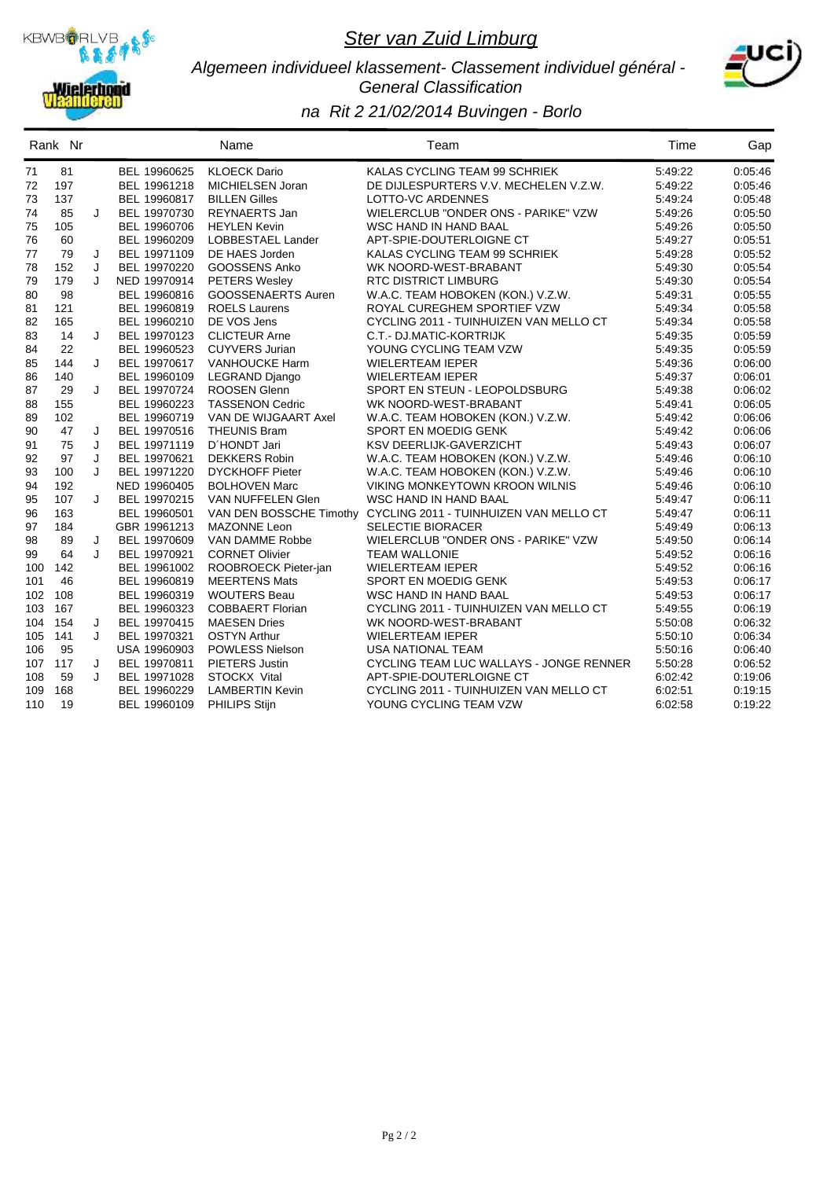

#### *Algemeen individueel klassement- Classement individuel général - General Classification*



|     | Rank Nr |   |              | Name                      | Team                                                           | Time    | Gap     |
|-----|---------|---|--------------|---------------------------|----------------------------------------------------------------|---------|---------|
| 71  | 81      |   | BEL 19960625 | <b>KLOECK Dario</b>       | KALAS CYCLING TEAM 99 SCHRIEK                                  | 5:49:22 | 0:05:46 |
| 72  | 197     |   | BEL 19961218 | MICHIELSEN Joran          | DE DIJLESPURTERS V.V. MECHELEN V.Z.W.                          | 5:49:22 | 0.05:46 |
| 73  | 137     |   | BEL 19960817 | <b>BILLEN Gilles</b>      | LOTTO-VC ARDENNES                                              | 5:49:24 | 0.05.48 |
| 74  | 85      | J | BEL 19970730 | <b>REYNAERTS Jan</b>      | WIELERCLUB "ONDER ONS - PARIKE" VZW                            | 5:49:26 | 0.05.50 |
| 75  | 105     |   | BEL 19960706 | <b>HEYLEN Kevin</b>       | <b>WSC HAND IN HAND BAAL</b>                                   | 5:49:26 | 0:05:50 |
| 76  | 60      |   | BEL 19960209 | LOBBESTAEL Lander         | APT-SPIE-DOUTERLOIGNE CT                                       | 5:49:27 | 0:05:51 |
| 77  | 79      | J | BEL 19971109 | DE HAES Jorden            | KALAS CYCLING TEAM 99 SCHRIEK                                  | 5:49:28 | 0:05:52 |
| 78  | 152     | J | BEL 19970220 | GOOSSENS Anko             | WK NOORD-WEST-BRABANT                                          | 5:49:30 | 0:05:54 |
| 79  | 179     | J | NED 19970914 | <b>PETERS Wesley</b>      | <b>RTC DISTRICT LIMBURG</b>                                    | 5:49:30 | 0:05:54 |
| 80  | 98      |   | BEL 19960816 | <b>GOOSSENAERTS Auren</b> | W.A.C. TEAM HOBOKEN (KON.) V.Z.W.                              | 5:49:31 | 0:05:55 |
| 81  | 121     |   | BEL 19960819 | <b>ROELS Laurens</b>      | ROYAL CUREGHEM SPORTIEF VZW                                    | 5:49:34 | 0:05:58 |
| 82  | 165     |   | BEL 19960210 | DE VOS Jens               | CYCLING 2011 - TUINHUIZEN VAN MELLO CT                         | 5:49:34 | 0:05:58 |
| 83  | 14      | J | BEL 19970123 | <b>CLICTEUR Arne</b>      | C.T.- DJ.MATIC-KORTRIJK                                        | 5:49:35 | 0:05:59 |
| 84  | 22      |   | BEL 19960523 | <b>CUYVERS Jurian</b>     | YOUNG CYCLING TEAM VZW                                         | 5.49.35 | 0:05:59 |
| 85  | 144     | J | BEL 19970617 | VANHOUCKE Harm            | <b>WIELERTEAM IEPER</b>                                        | 5:49:36 | 0:06:00 |
| 86  | 140     |   | BEL 19960109 | LEGRAND Django            | <b>WIELERTEAM IEPER</b>                                        | 5:49:37 | 0:06:01 |
| 87  | 29      | J | BEL 19970724 | ROOSEN Glenn              | SPORT EN STEUN - LEOPOLDSBURG                                  | 5:49:38 | 0:06:02 |
| 88  | 155     |   | BEL 19960223 | <b>TASSENON Cedric</b>    | WK NOORD-WEST-BRABANT                                          | 5:49:41 | 0:06:05 |
| 89  | 102     |   | BEL 19960719 | VAN DE WIJGAART Axel      | W.A.C. TEAM HOBOKEN (KON.) V.Z.W.                              | 5:49:42 | 0.06.06 |
| 90  | 47      | J | BEL 19970516 | <b>THEUNIS Bram</b>       | SPORT EN MOEDIG GENK                                           | 5:49:42 | 0:06:06 |
| 91  | 75      | J | BEL 19971119 | D'HONDT Jari              | <b>KSV DEERLIJK-GAVERZICHT</b>                                 | 5:49:43 | 0:06:07 |
| 92  | 97      | J | BEL 19970621 | <b>DEKKERS Robin</b>      | W.A.C. TEAM HOBOKEN (KON.) V.Z.W.                              | 5:49:46 | 0:06:10 |
| 93  | 100     | J | BEL 19971220 | <b>DYCKHOFF Pieter</b>    | W.A.C. TEAM HOBOKEN (KON.) V.Z.W.                              | 5:49:46 | 0.06.10 |
| 94  | 192     |   | NED 19960405 | <b>BOLHOVEN Marc</b>      | VIKING MONKEYTOWN KROON WILNIS                                 | 5:49:46 | 0:06:10 |
| 95  | 107     | J | BEL 19970215 | VAN NUFFELEN Glen         | WSC HAND IN HAND BAAL                                          | 5:49:47 | 0:06:11 |
| 96  | 163     |   | BEL 19960501 |                           | VAN DEN BOSSCHE Timothy CYCLING 2011 - TUINHUIZEN VAN MELLO CT | 5:49:47 | 0:06:11 |
| 97  | 184     |   | GBR 19961213 | MAZONNE Leon              | <b>SELECTIE BIORACER</b>                                       | 5:49:49 | 0:06:13 |
| 98  | 89      | J | BEL 19970609 | VAN DAMME Robbe           | WIELERCLUB "ONDER ONS - PARIKE" VZW                            | 5:49:50 | 0:06:14 |
| 99  | 64      | J | BEL 19970921 | <b>CORNET Olivier</b>     | <b>TEAM WALLONIE</b>                                           | 5:49:52 | 0.06.16 |
| 100 | 142     |   | BEL 19961002 | ROOBROECK Pieter-jan      | <b>WIELERTEAM IEPER</b>                                        | 5:49:52 | 0.06.16 |
| 101 | 46      |   | BEL 19960819 | <b>MEERTENS Mats</b>      | SPORT EN MOEDIG GENK                                           | 5:49:53 | 0:06:17 |
|     | 102 108 |   | BEL 19960319 | <b>WOUTERS Beau</b>       | WSC HAND IN HAND BAAL                                          | 5:49:53 | 0:06:17 |
| 103 | 167     |   | BEL 19960323 | <b>COBBAERT Florian</b>   | CYCLING 2011 - TUINHUIZEN VAN MELLO CT                         | 5:49:55 | 0:06:19 |
|     | 104 154 | J | BEL 19970415 | <b>MAESEN Dries</b>       | WK NOORD-WEST-BRABANT                                          | 5:50:08 | 0:06:32 |
| 105 | 141     | J | BEL 19970321 | <b>OSTYN Arthur</b>       | <b>WIELERTEAM IEPER</b>                                        | 5:50:10 | 0.06.34 |
| 106 | 95      |   | USA 19960903 | POWLESS Nielson           | <b>USA NATIONAL TEAM</b>                                       | 5:50:16 | 0:06:40 |
|     | 107 117 | J | BEL 19970811 | PIETERS Justin            | CYCLING TEAM LUC WALLAYS - JONGE RENNER                        | 5:50:28 | 0:06:52 |
| 108 | 59      | J | BEL 19971028 | STOCKX Vital              | APT-SPIE-DOUTERLOIGNE CT                                       | 6:02:42 | 0:19:06 |
| 109 | 168     |   | BEL 19960229 | <b>LAMBERTIN Kevin</b>    | CYCLING 2011 - TUINHUIZEN VAN MELLO CT                         | 6:02:51 | 0:19:15 |
| 110 | 19      |   | BEL 19960109 | <b>PHILIPS Stijn</b>      | YOUNG CYCLING TEAM VZW                                         | 6:02:58 | 0:19:22 |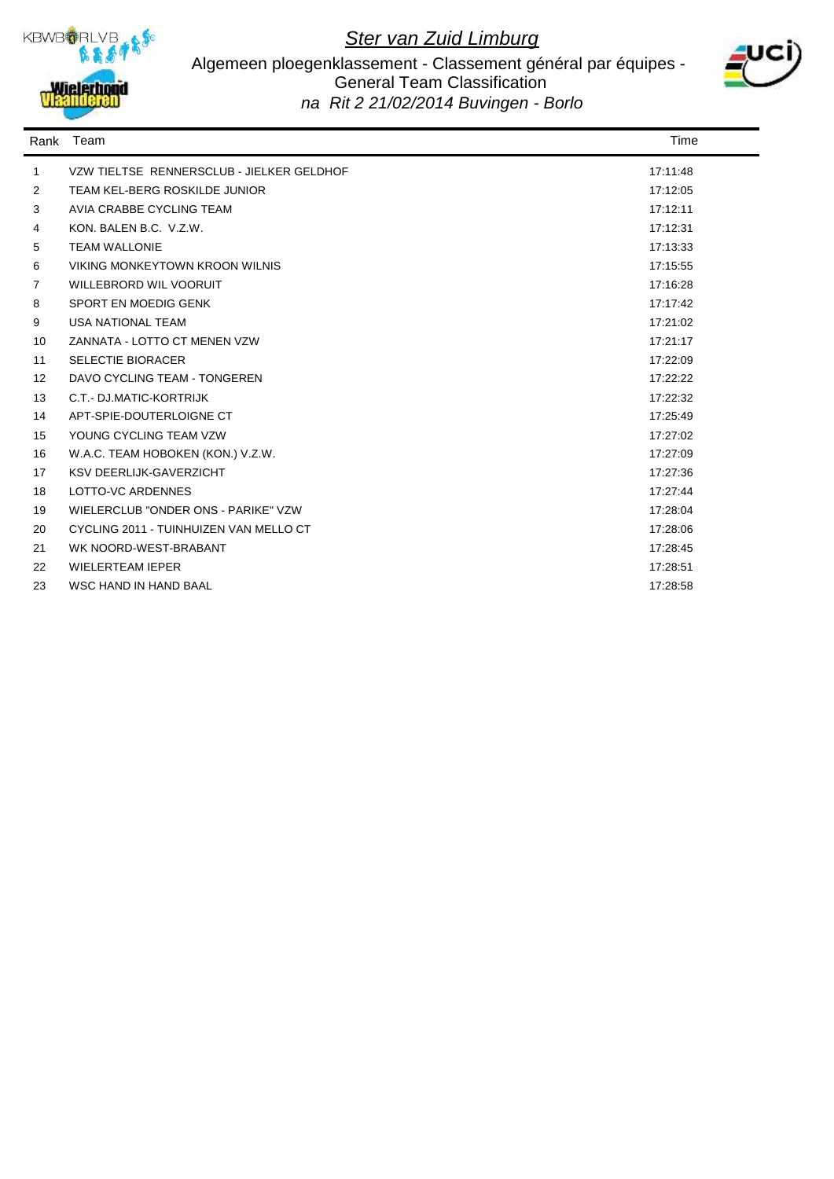

#### Algemeen ploegenklassement - Classement général par équipes - General Team Classification *na Rit 2 21/02/2014 Buvingen - Borlo*



| Rank           | Team                                      | Time     |
|----------------|-------------------------------------------|----------|
| $\mathbf{1}$   | VZW TIELTSE RENNERSCLUB - JIELKER GELDHOF | 17:11:48 |
| 2              | TEAM KEL-BERG ROSKILDE JUNIOR             | 17:12:05 |
| 3              | AVIA CRABBE CYCLING TEAM                  | 17:12:11 |
| 4              | KON, BALEN B.C. V.Z.W.                    | 17:12:31 |
| 5              | <b>TEAM WALLONIE</b>                      | 17:13:33 |
| 6              | VIKING MONKEYTOWN KROON WILNIS            | 17:15:55 |
| $\overline{7}$ | WILLEBRORD WIL VOORUIT                    | 17:16:28 |
| 8              | SPORT EN MOEDIG GENK                      | 17:17:42 |
| 9              | <b>USA NATIONAL TEAM</b>                  | 17:21:02 |
| 10             | ZANNATA - LOTTO CT MENEN VZW              | 17:21:17 |
| 11             | <b>SELECTIE BIORACER</b>                  | 17:22:09 |
| 12             | DAVO CYCLING TEAM - TONGEREN              | 17:22:22 |
| 13             | C.T.- DJ.MATIC-KORTRIJK                   | 17:22:32 |
| 14             | APT-SPIE-DOUTERLOIGNE CT                  | 17:25:49 |
| 15             | YOUNG CYCLING TEAM VZW                    | 17:27:02 |
| 16             | W.A.C. TEAM HOBOKEN (KON.) V.Z.W.         | 17:27:09 |
| 17             | <b>KSV DEERLIJK-GAVERZICHT</b>            | 17:27:36 |
| 18             | LOTTO-VC ARDENNES                         | 17:27:44 |
| 19             | WIELERCLUB "ONDER ONS - PARIKE" VZW       | 17:28:04 |
| 20             | CYCLING 2011 - TUINHUIZEN VAN MELLO CT    | 17:28:06 |
| 21             | WK NOORD-WEST-BRABANT                     | 17:28:45 |
| 22             | <b>WIELERTEAM IEPER</b>                   | 17:28:51 |
| 23             | <b>WSC HAND IN HAND BAAL</b>              | 17:28:58 |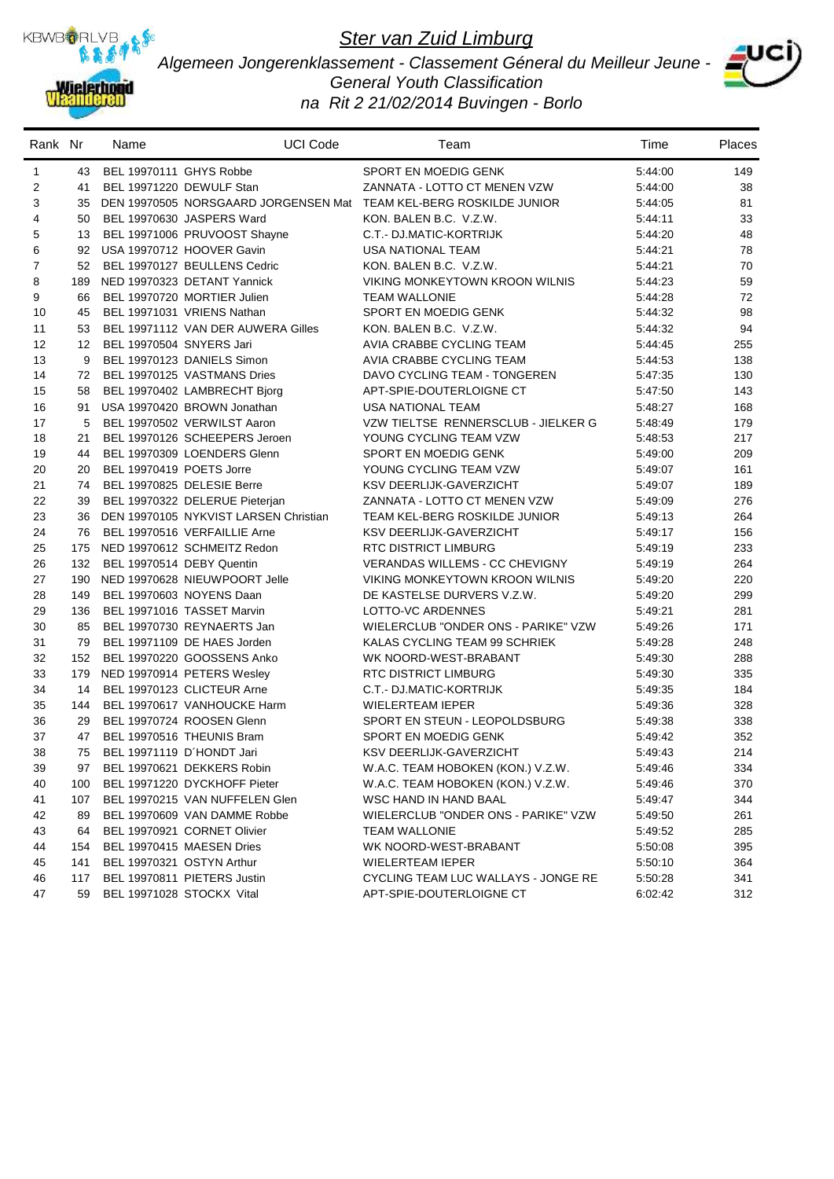

*Algemeen Jongerenklassement - Classement Géneral du Meilleur Jeune - General Youth Classification na Rit 2 21/02/2014 Buvingen - Borlo*



| Rank Nr        |     | Name                       | <b>UCI Code</b>                       | Team                                                               | Time    | Places |
|----------------|-----|----------------------------|---------------------------------------|--------------------------------------------------------------------|---------|--------|
| $\mathbf{1}$   |     | 43 BEL 19970111 GHYS Robbe |                                       | SPORT EN MOEDIG GENK                                               | 5:44:00 | 149    |
| 2              | 41  |                            | BEL 19971220 DEWULF Stan              | ZANNATA - LOTTO CT MENEN VZW                                       | 5:44:00 | 38     |
| 3              | 35  |                            |                                       | DEN 19970505 NORSGAARD JORGENSEN Mat TEAM KEL-BERG ROSKILDE JUNIOR | 5:44:05 | 81     |
| 4              | 50  |                            | BEL 19970630 JASPERS Ward             | KON. BALEN B.C. V.Z.W.                                             | 5:44:11 | 33     |
| 5              | 13  |                            | BEL 19971006 PRUVOOST Shayne          | C.T.- DJ.MATIC-KORTRIJK                                            | 5:44:20 | 48     |
| 6              |     |                            | 92 USA 19970712 HOOVER Gavin          | <b>USA NATIONAL TEAM</b>                                           | 5:44:21 | 78     |
| $\overline{7}$ | 52  |                            | BEL 19970127 BEULLENS Cedric          | KON. BALEN B.C. V.Z.W.                                             | 5:44:21 | 70     |
| 8              | 189 |                            | NED 19970323 DETANT Yannick           | <b>VIKING MONKEYTOWN KROON WILNIS</b>                              | 5:44:23 | 59     |
| 9              | 66  |                            | BEL 19970720 MORTIER Julien           | <b>TEAM WALLONIE</b>                                               | 5:44:28 | 72     |
| 10             | 45  |                            | BEL 19971031 VRIENS Nathan            | SPORT EN MOEDIG GENK                                               | 5:44:32 | 98     |
| 11             | 53  |                            | BEL 19971112 VAN DER AUWERA Gilles    | KON. BALEN B.C. V.Z.W.                                             | 5:44:32 | 94     |
| 12             | 12  | BEL 19970504 SNYERS Jari   |                                       | AVIA CRABBE CYCLING TEAM                                           | 5:44:45 | 255    |
| 13             | 9   |                            | BEL 19970123 DANIELS Simon            | AVIA CRABBE CYCLING TEAM                                           | 5:44:53 | 138    |
| 14             | 72  |                            | BEL 19970125 VASTMANS Dries           | DAVO CYCLING TEAM - TONGEREN                                       | 5:47:35 | 130    |
| 15             | 58  |                            | BEL 19970402 LAMBRECHT Bjorg          | APT-SPIE-DOUTERLOIGNE CT                                           | 5:47:50 | 143    |
| 16             | 91  |                            | USA 19970420 BROWN Jonathan           | <b>USA NATIONAL TEAM</b>                                           | 5:48:27 | 168    |
| 17             | 5   |                            | BEL 19970502 VERWILST Aaron           | VZW TIELTSE RENNERSCLUB - JIELKER G                                | 5:48:49 | 179    |
| 18             | 21  |                            | BEL 19970126 SCHEEPERS Jeroen         | YOUNG CYCLING TEAM VZW                                             | 5:48:53 | 217    |
| 19             | 44  |                            | BEL 19970309 LOENDERS Glenn           | SPORT EN MOEDIG GENK                                               | 5:49:00 | 209    |
| 20             | 20  | BEL 19970419 POETS Jorre   |                                       | YOUNG CYCLING TEAM VZW                                             | 5:49:07 | 161    |
| 21             | 74  |                            | BEL 19970825 DELESIE Berre            | KSV DEERLIJK-GAVERZICHT                                            | 5:49:07 | 189    |
| 22             | 39  |                            | BEL 19970322 DELERUE Pieterjan        | ZANNATA - LOTTO CT MENEN VZW                                       | 5:49:09 | 276    |
| 23             | 36  |                            | DEN 19970105 NYKVIST LARSEN Christian | TEAM KEL-BERG ROSKILDE JUNIOR                                      | 5:49:13 | 264    |
| 24             | 76  |                            | BEL 19970516 VERFAILLIE Arne          | KSV DEERLIJK-GAVERZICHT                                            | 5:49:17 | 156    |
| 25             | 175 |                            | NED 19970612 SCHMEITZ Redon           | <b>RTC DISTRICT LIMBURG</b>                                        | 5:49:19 | 233    |
| 26             | 132 | BEL 19970514 DEBY Quentin  |                                       | <b>VERANDAS WILLEMS - CC CHEVIGNY</b>                              | 5:49:19 | 264    |
| 27             |     |                            | 190 NED 19970628 NIEUWPOORT Jelle     | VIKING MONKEYTOWN KROON WILNIS                                     | 5:49:20 | 220    |
| 28             | 149 |                            | BEL 19970603 NOYENS Daan              | DE KASTELSE DURVERS V.Z.W.                                         | 5:49:20 | 299    |
| 29             | 136 |                            | BEL 19971016 TASSET Marvin            | LOTTO-VC ARDENNES                                                  | 5:49:21 | 281    |
| 30             | 85  |                            | BEL 19970730 REYNAERTS Jan            | WIELERCLUB "ONDER ONS - PARIKE" VZW                                | 5:49:26 | 171    |
| 31             | 79  |                            | BEL 19971109 DE HAES Jorden           | KALAS CYCLING TEAM 99 SCHRIEK                                      | 5:49:28 | 248    |
| 32             | 152 |                            | BEL 19970220 GOOSSENS Anko            | WK NOORD-WEST-BRABANT                                              | 5:49:30 | 288    |
| 33             |     |                            | 179 NED 19970914 PETERS Wesley        | RTC DISTRICT LIMBURG                                               | 5:49:30 | 335    |
| 34             | 14  |                            | BEL 19970123 CLICTEUR Arne            | C.T.- DJ.MATIC-KORTRIJK                                            | 5:49:35 | 184    |
| 35             | 144 |                            | BEL 19970617 VANHOUCKE Harm           | <b>WIELERTEAM IEPER</b>                                            | 5:49:36 | 328    |
| 36             | 29  |                            | BEL 19970724 ROOSEN Glenn             | SPORT EN STEUN - LEOPOLDSBURG                                      | 5:49:38 | 338    |
| 37             | 47  |                            | BEL 19970516 THEUNIS Bram             | SPORT EN MOEDIG GENK                                               | 5:49:42 | 352    |
| 38             | 75  |                            | BEL 19971119 D'HONDT Jari             | KSV DEERLIJK-GAVERZICHT                                            | 5:49:43 | 214    |
| 39             | 97  |                            | BEL 19970621 DEKKERS Robin            | W.A.C. TEAM HOBOKEN (KON.) V.Z.W.                                  | 5:49:46 | 334    |
| 40             | 100 |                            | BEL 19971220 DYCKHOFF Pieter          | W.A.C. TEAM HOBOKEN (KON.) V.Z.W.                                  | 5:49:46 | 370    |
| 41             | 107 |                            | BEL 19970215 VAN NUFFELEN Glen        | WSC HAND IN HAND BAAL                                              | 5:49:47 | 344    |
| 42             | 89  |                            | BEL 19970609 VAN DAMME Robbe          | WIELERCLUB "ONDER ONS - PARIKE" VZW                                | 5:49:50 | 261    |
| 43             | 64  |                            | BEL 19970921 CORNET Olivier           | <b>TEAM WALLONIE</b>                                               | 5:49:52 | 285    |
| 44             | 154 |                            | BEL 19970415 MAESEN Dries             | WK NOORD-WEST-BRABANT                                              | 5:50:08 | 395    |
| 45             | 141 |                            | BEL 19970321 OSTYN Arthur             | <b>WIELERTEAM IEPER</b>                                            | 5:50:10 | 364    |
| 46             | 117 |                            | BEL 19970811 PIETERS Justin           | CYCLING TEAM LUC WALLAYS - JONGE RE                                | 5:50:28 | 341    |
| 47             | 59  |                            | BEL 19971028 STOCKX Vital             | APT-SPIE-DOUTERLOIGNE CT                                           | 6:02:42 | 312    |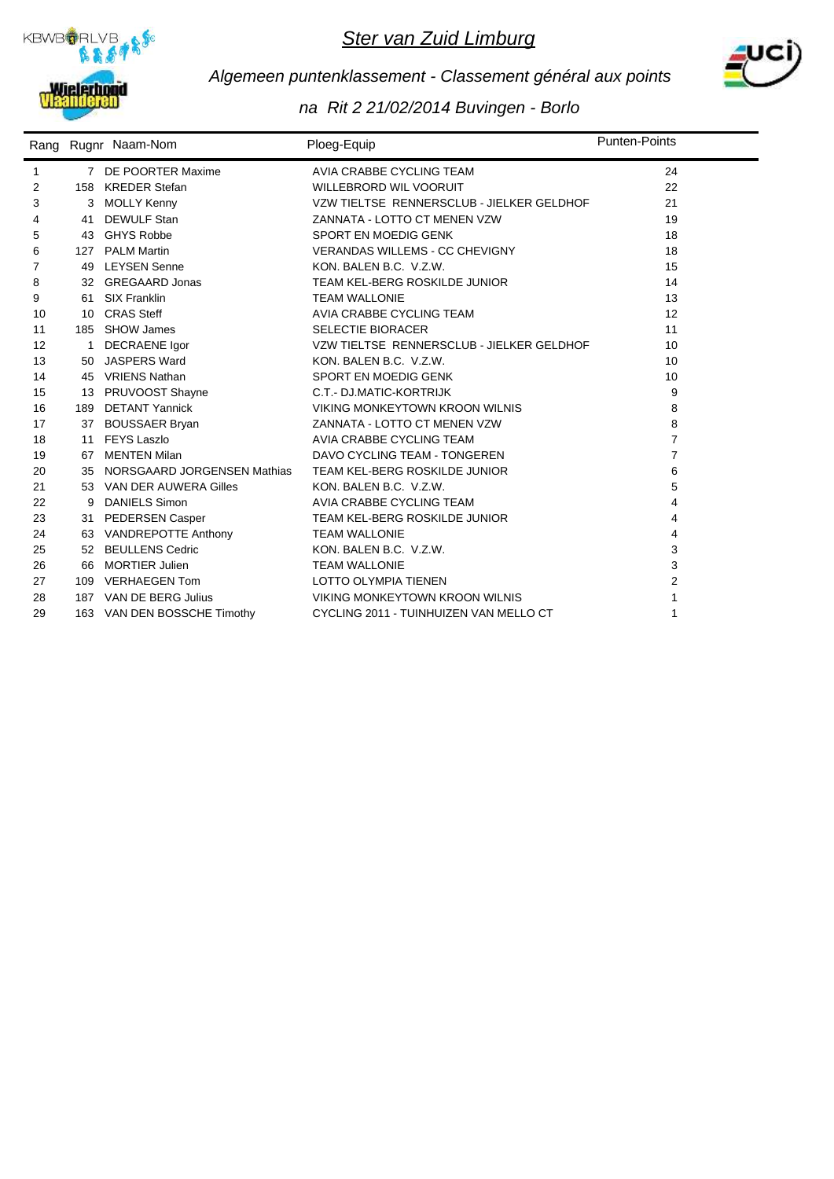



## *Algemeen puntenklassement - Classement général aux points*

|    |     | Rang Rugnr Naam-Nom         | Ploeg-Equip                               | <b>Punten-Points</b> |
|----|-----|-----------------------------|-------------------------------------------|----------------------|
| 1  |     | 7 DE POORTER Maxime         | AVIA CRABBE CYCLING TEAM                  | 24                   |
| 2  |     | 158 KREDER Stefan           | <b>WILLEBRORD WIL VOORUIT</b>             | 22                   |
| 3  |     | <b>MOLLY Kenny</b>          | VZW TIELTSE RENNERSCLUB - JIELKER GELDHOF | 21                   |
| 4  | 41  | <b>DEWULF Stan</b>          | ZANNATA - LOTTO CT MENEN VZW              | 19                   |
| 5  |     | 43 GHYS Robbe               | SPORT EN MOEDIG GENK                      | 18                   |
| 6  |     | 127 PALM Martin             | <b>VERANDAS WILLEMS - CC CHEVIGNY</b>     | 18                   |
| 7  | 49  | <b>LEYSEN Senne</b>         | KON, BALEN B.C. V.Z.W.                    | 15                   |
| 8  |     | 32 GREGAARD Jonas           | TEAM KEL-BERG ROSKILDE JUNIOR             | 14                   |
| 9  |     | 61 SIX Franklin             | <b>TEAM WALLONIE</b>                      | 13                   |
| 10 |     | 10 CRAS Steff               | AVIA CRABBE CYCLING TEAM                  | 12                   |
| 11 |     | 185 SHOW James              | <b>SELECTIE BIORACER</b>                  | 11                   |
| 12 |     | <b>DECRAENE</b> Igor        | VZW TIELTSE RENNERSCLUB - JIELKER GELDHOF | 10                   |
| 13 |     | 50 JASPERS Ward             | KON, BALEN B.C. V.Z.W.                    | 10                   |
| 14 |     | 45 VRIENS Nathan            | SPORT EN MOEDIG GENK                      | 10                   |
| 15 |     | 13 PRUVOOST Shayne          | C.T.- DJ.MATIC-KORTRIJK                   | 9                    |
| 16 | 189 | DETANT Yannick              | VIKING MONKEYTOWN KROON WILNIS            | 8                    |
| 17 |     | 37 BOUSSAER Bryan           | ZANNATA - LOTTO CT MENEN VZW              | 8                    |
| 18 |     | 11 FEYS Laszlo              | AVIA CRABBE CYCLING TEAM                  | $\overline{7}$       |
| 19 |     | 67 MENTEN Milan             | DAVO CYCLING TEAM - TONGEREN              | $\overline{7}$       |
| 20 | 35  | NORSGAARD JORGENSEN Mathias | TEAM KEL-BERG ROSKILDE JUNIOR             | 6                    |
| 21 |     | 53 VAN DER AUWERA Gilles    | KON. BALEN B.C. V.Z.W.                    | 5                    |
| 22 | 9   | <b>DANIELS Simon</b>        | AVIA CRABBE CYCLING TEAM                  | 4                    |
| 23 |     | 31 PEDERSEN Casper          | TEAM KEL-BERG ROSKILDE JUNIOR             | 4                    |
| 24 |     | 63 VANDREPOTTE Anthony      | <b>TEAM WALLONIE</b>                      | 4                    |
| 25 |     | 52 BEULLENS Cedric          | KON, BALEN B.C. V.Z.W.                    | 3                    |
| 26 | 66  | <b>MORTIER Julien</b>       | <b>TEAM WALLONIE</b>                      | 3                    |
| 27 | 109 | <b>VERHAEGEN Tom</b>        | LOTTO OLYMPIA TIENEN                      | 2                    |
| 28 |     | 187 VAN DE BERG Julius      | VIKING MONKEYTOWN KROON WILNIS            | $\mathbf{1}$         |
| 29 |     | 163 VAN DEN BOSSCHE Timothy | CYCLING 2011 - TUINHUIZEN VAN MELLO CT    | 1                    |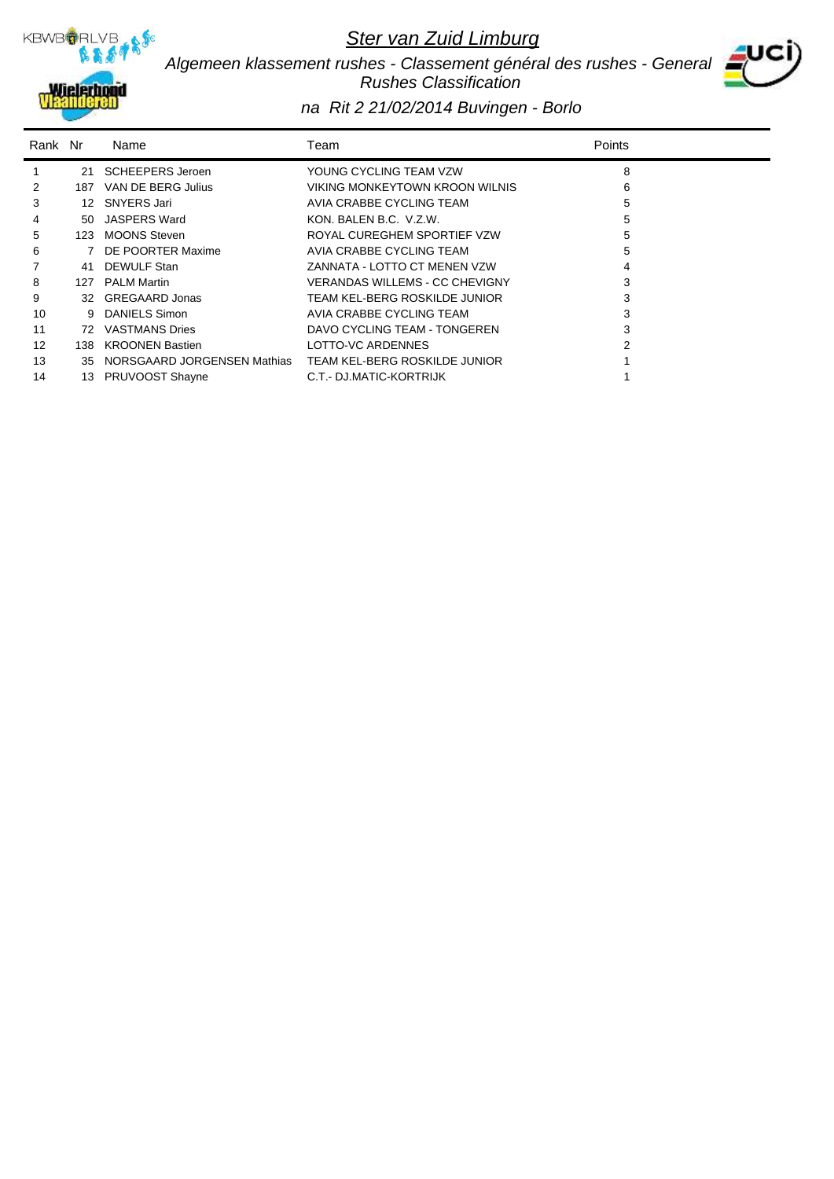

*Algemeen klassement rushes - Classement général des rushes - General Rushes Classification*



| Rank Nr |      | Name                        | Team                           | Points |
|---------|------|-----------------------------|--------------------------------|--------|
|         | 21   | <b>SCHEEPERS Jeroen</b>     | YOUNG CYCLING TEAM VZW         | 8      |
| 2       | 187  | VAN DE BERG Julius          | VIKING MONKEYTOWN KROON WILNIS | 6      |
| 3       | 12   | SNYERS Jari                 | AVIA CRABBE CYCLING TEAM       | 5      |
| 4       | 50   | JASPERS Ward                | KON, BALEN B.C. V.Z.W.         | 5      |
| 5       | 123  | <b>MOONS Steven</b>         | ROYAL CUREGHEM SPORTIEF VZW    | 5      |
| 6       |      | 7 DE POORTER Maxime         | AVIA CRABBE CYCLING TEAM       | 5      |
|         | 41   | DEWULF Stan                 | ZANNATA - LOTTO CT MENEN VZW   |        |
| 8       | 127  | <b>PALM Martin</b>          | VERANDAS WILLEMS - CC CHEVIGNY |        |
| 9       |      | 32 GREGAARD Jonas           | TEAM KEL-BERG ROSKILDE JUNIOR  |        |
| 10      | 9    | <b>DANIELS Simon</b>        | AVIA CRABBE CYCLING TEAM       | 3      |
| 11      | 72   | VASTMANS Dries              | DAVO CYCLING TEAM - TONGEREN   |        |
| 12      | 138. | <b>KROONEN Bastien</b>      | LOTTO-VC ARDENNES              |        |
| 13      | 35   | NORSGAARD JORGENSEN Mathias | TEAM KEL-BERG ROSKILDE JUNIOR  |        |
| 14      |      | 13 PRUVOOST Shayne          | C.T.- DJ.MATIC-KORTRIJK        |        |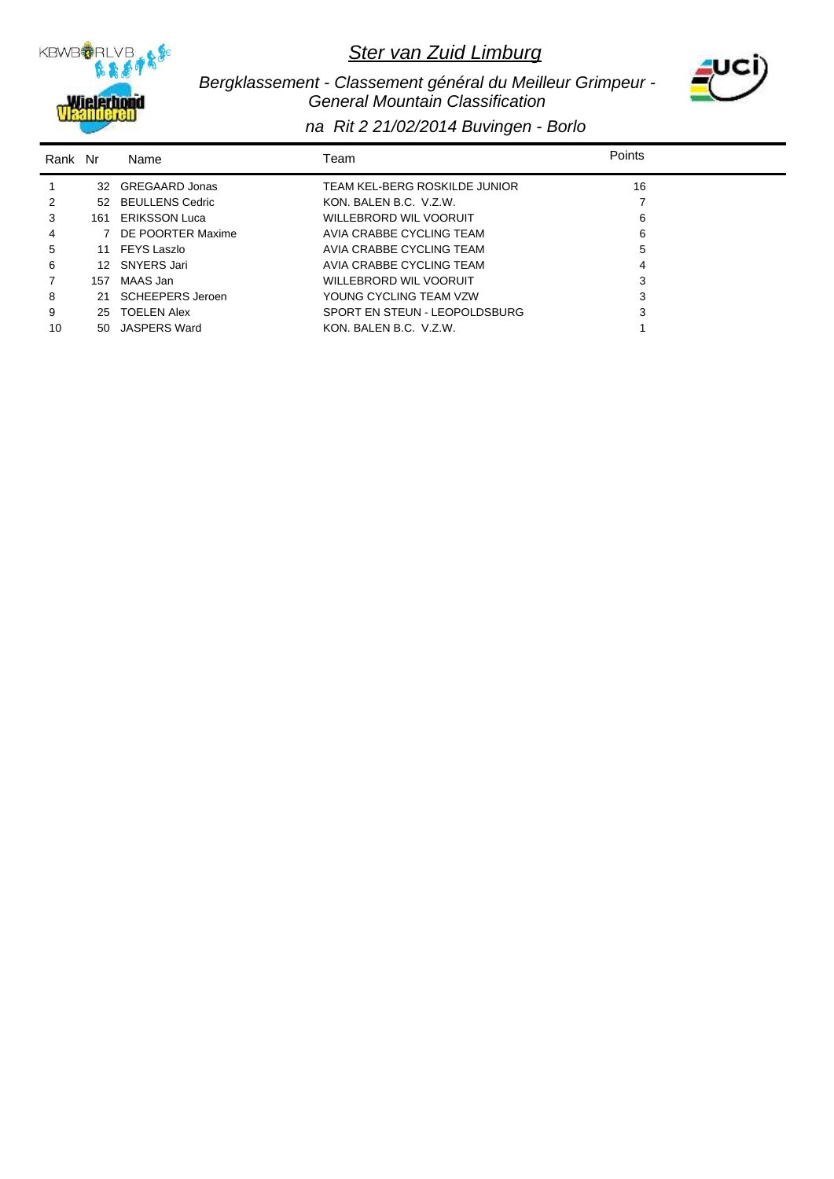

 *Bergklassement - Classement général du Meilleur Grimpeur - General Mountain Classification*



| Rank Nr |     | Name               | Team                          | Points |
|---------|-----|--------------------|-------------------------------|--------|
|         |     | 32 GREGAARD Jonas  | TEAM KEL-BERG ROSKILDE JUNIOR | 16     |
| 2       |     | 52 BEULLENS Cedric | KON, BALEN B.C. V.Z.W.        |        |
| 3       |     | 161 ERIKSSON Luca  | WILLEBRORD WIL VOORUIT        | 6      |
| 4       |     | DE POORTER Maxime  | AVIA CRABBE CYCLING TEAM      | 6      |
| 5       |     | 11 FEYS Laszlo     | AVIA CRABBE CYCLING TEAM      | 5      |
| 6       | 12. | SNYERS Jari        | AVIA CRABBE CYCLING TEAM      | 4      |
|         | 157 | MAAS Jan           | WILLEBRORD WIL VOORUIT        | 3      |
| 8       | 21. | SCHEEPERS Jeroen   | YOUNG CYCLING TEAM VZW        | 3      |
| 9       | 25  | <b>TOELEN Alex</b> | SPORT EN STEUN - LEOPOLDSBURG |        |
| 10      | 50  | JASPERS Ward       | KON, BALEN B.C. V.Z.W.        |        |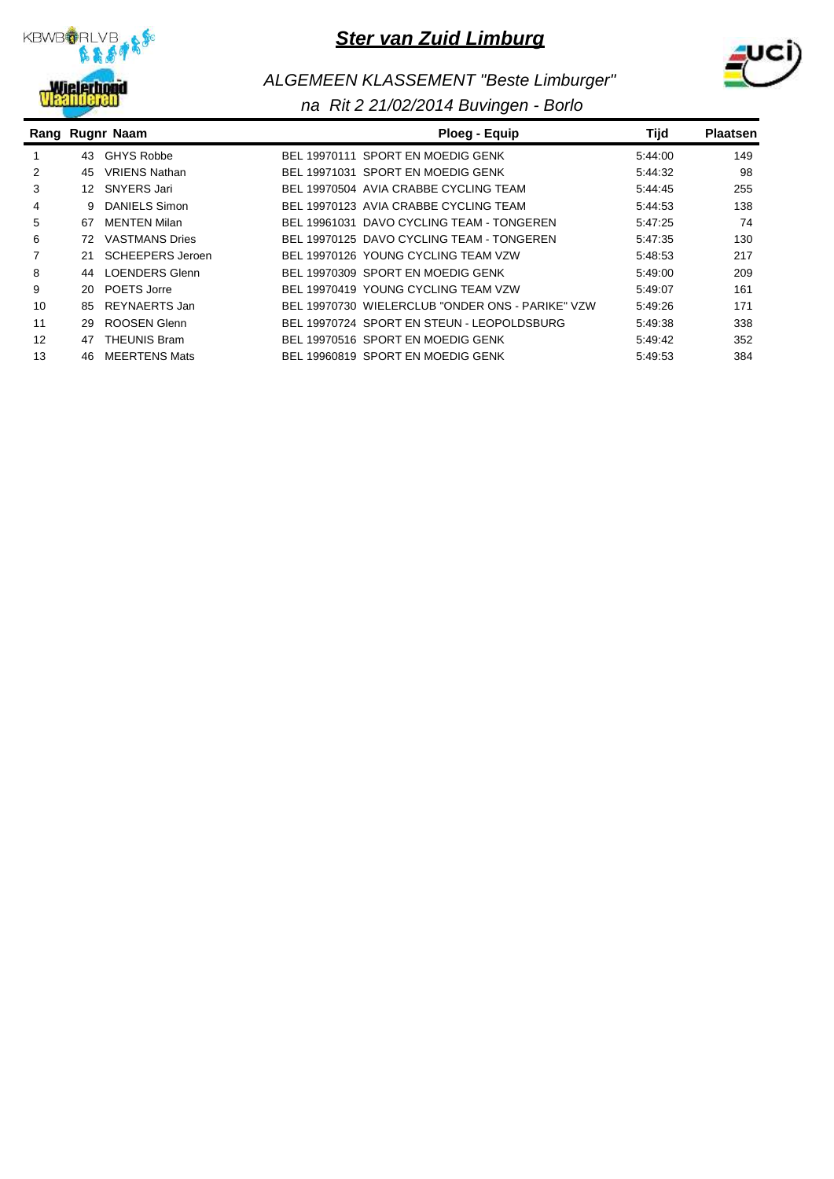



# *ALGEMEEN KLASSEMENT "Beste Limburger"*

|    |    | Rang Rugnr Naam       | Ploeg - Equip                                    | Tijd    | <b>Plaatsen</b> |
|----|----|-----------------------|--------------------------------------------------|---------|-----------------|
|    | 43 | <b>GHYS Robbe</b>     | BEL 19970111 SPORT EN MOEDIG GENK                | 5:44:00 | 149             |
| 2  | 45 | <b>VRIENS Nathan</b>  | BEL 19971031 SPORT EN MOEDIG GENK                | 5:44:32 | 98              |
| 3  | 12 | SNYERS Jari           | BEL 19970504 AVIA CRABBE CYCLING TEAM            | 5:44:45 | 255             |
| 4  | 9  | <b>DANIELS Simon</b>  | BEL 19970123 AVIA CRABBE CYCLING TEAM            | 5:44:53 | 138             |
| 5  | 67 | <b>MENTEN Milan</b>   | BEL 19961031 DAVO CYCLING TEAM - TONGEREN        | 5:47:25 | 74              |
| 6  | 72 | <b>VASTMANS Dries</b> | BEL 19970125 DAVO CYCLING TEAM - TONGEREN        | 5:47:35 | 130             |
|    |    | SCHEEPERS Jeroen      | BEL 19970126 YOUNG CYCLING TEAM VZW              | 5:48:53 | 217             |
| 8  | 44 | <b>LOENDERS Glenn</b> | BEL 19970309 SPORT EN MOEDIG GENK                | 5.49.00 | 209             |
| 9  | 20 | POETS Jorre           | BEL 19970419 YOUNG CYCLING TEAM VZW              | 5.49.07 | 161             |
| 10 | 85 | REYNAERTS Jan         | BEL 19970730 WIELERCLUB "ONDER ONS - PARIKE" VZW | 5:49:26 | 171             |
| 11 | 29 | ROOSEN Glenn          | BEL 19970724 SPORT EN STEUN - LEOPOLDSBURG       | 5:49:38 | 338             |
| 12 | 47 | <b>THEUNIS Bram</b>   | BEL 19970516 SPORT EN MOEDIG GENK                | 5:49:42 | 352             |
| 13 | 46 | <b>MEERTENS Mats</b>  | BEL 19960819 SPORT EN MOEDIG GENK                | 5:49:53 | 384             |